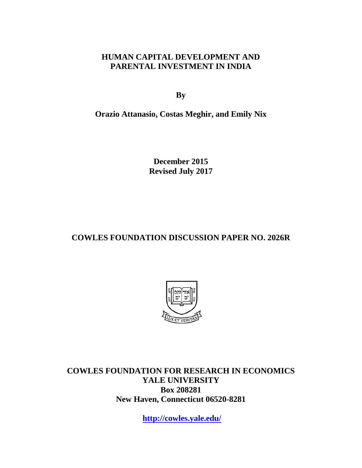## **HUMAN CAPITAL DEVELOPMENT AND PARENTAL INVESTMENT IN INDIA**

**By**

**Orazio Attanasio, Costas Meghir, and Emily Nix**

**December 2015 Revised July 2017**

# **COWLES FOUNDATION DISCUSSION PAPER NO. 2026R**



**COWLES FOUNDATION FOR RESEARCH IN ECONOMICS YALE UNIVERSITY Box 208281 New Haven, Connecticut 06520-8281**

**<http://cowles.yale.edu/>**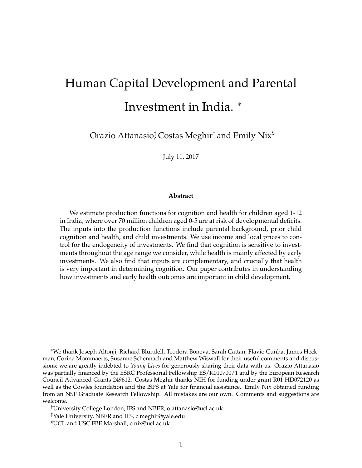# <span id="page-1-0"></span>Human Capital Development and Parental Investment in India. <sup>∗</sup>

Orazio Attanasio $\dagger$  Costas Meghir $^\ddagger$  and Emily Nix $^{\S}$ 

July 11, 2017

#### **Abstract**

We estimate production functions for cognition and health for children aged 1-12 in India, where over 70 million children aged 0-5 are at risk of developmental deficits. The inputs into the production functions include parental background, prior child cognition and health, and child investments. We use income and local prices to control for the endogeneity of investments. We find that cognition is sensitive to investments throughout the age range we consider, while health is mainly affected by early investments. We also find that inputs are complementary, and crucially that health is very important in determining cognition. Our paper contributes in understanding how investments and early health outcomes are important in child development.

<sup>∗</sup>We thank Joseph Altonji, Richard Blundell, Teodora Boneva, Sarah Cattan, Flavio Cunha, James Heckman, Corina Mommaerts, Susanne Schennach and Matthew Wiswall for their useful comments and discussions; we are greatly indebted to *Young Lives* for generously sharing their data with us. Orazio Attanasio was partially financed by the ESRC Professorial Fellowship ES/K010700/1 and by the European Research Council Advanced Grants 249612. Costas Meghir thanks NIH for funding under grant R01 HD072120 as well as the Cowles foundation and the ISPS at Yale for financial assistance. Emily Nix obtained funding from an NSF Graduate Research Fellowship. All mistakes are our own. Comments and suggestions are welcome.

<sup>†</sup>University College London, IFS and NBER, o.attanasio@ucl.ac.uk

<sup>‡</sup>Yale University, NBER and IFS, c.meghir@yale.edu

<sup>§</sup>UCL and USC FBE Marshall, e.nix@ucl.ac.uk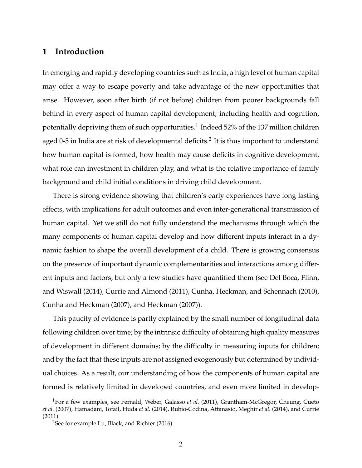## **1 Introduction**

In emerging and rapidly developing countries such as India, a high level of human capital may offer a way to escape poverty and take advantage of the new opportunities that arise. However, soon after birth (if not before) children from poorer backgrounds fall behind in every aspect of human capital development, including health and cognition, potentially depriving them of such opportunities. $^1$  $^1$  Indeed 52% of the 137 million children aged 0-5 in India are at risk of developmental deficits. $^2$  $^2$  It is thus important to understand how human capital is formed, how health may cause deficits in cognitive development, what role can investment in children play, and what is the relative importance of family background and child initial conditions in driving child development.

There is strong evidence showing that children's early experiences have long lasting effects, with implications for adult outcomes and even inter-generational transmission of human capital. Yet we still do not fully understand the mechanisms through which the many components of human capital develop and how different inputs interact in a dynamic fashion to shape the overall development of a child. There is growing consensus on the presence of important dynamic complementarities and interactions among different inputs and factors, but only a few studies have quantified them (see [Del Boca, Flinn,](#page-47-0) [and Wiswall](#page-47-0) [\(2014\)](#page-47-0), [Currie and Almond](#page-47-1) [\(2011\)](#page-47-1), [Cunha, Heckman, and Schennach](#page-47-2) [\(2010\)](#page-47-2), [Cunha and Heckman](#page-46-0) [\(2007\)](#page-46-0), and [Heckman](#page-49-0) [\(2007\)](#page-49-0)).

This paucity of evidence is partly explained by the small number of longitudinal data following children over time; by the intrinsic difficulty of obtaining high quality measures of development in different domains; by the difficulty in measuring inputs for children; and by the fact that these inputs are not assigned exogenously but determined by individual choices. As a result, our understanding of how the components of human capital are formed is relatively limited in developed countries, and even more limited in develop-

<sup>1</sup>For a few examples, see [Fernald, Weber, Galasso](#page-47-3) *et al.* [\(2011\)](#page-47-3), [Grantham-McGregor, Cheung, Cueto](#page-48-0) *[et al.](#page-48-0)* [\(2007\)](#page-48-0), [Hamadani, Tofail, Huda](#page-48-1) *et al.* [\(2014\)](#page-48-1), [Rubio-Codina, Attanasio, Meghir](#page-50-0) *et al.* [\(2014\)](#page-50-0), and [Currie](#page-47-4) [\(2011\)](#page-47-4).

<sup>&</sup>lt;sup>2</sup>See for example [Lu, Black, and Richter](#page-49-1) [\(2016\)](#page-49-1).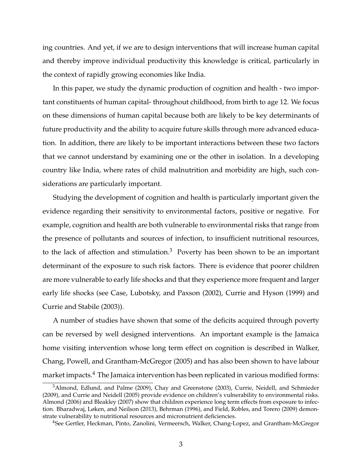ing countries. And yet, if we are to design interventions that will increase human capital and thereby improve individual productivity this knowledge is critical, particularly in the context of rapidly growing economies like India.

In this paper, we study the dynamic production of cognition and health - two important constituents of human capital- throughout childhood, from birth to age 12. We focus on these dimensions of human capital because both are likely to be key determinants of future productivity and the ability to acquire future skills through more advanced education. In addition, there are likely to be important interactions between these two factors that we cannot understand by examining one or the other in isolation. In a developing country like India, where rates of child malnutrition and morbidity are high, such considerations are particularly important.

Studying the development of cognition and health is particularly important given the evidence regarding their sensitivity to environmental factors, positive or negative. For example, cognition and health are both vulnerable to environmental risks that range from the presence of pollutants and sources of infection, to insufficient nutritional resources, to the lack of affection and stimulation.<sup>[3](#page-1-0)</sup> Poverty has been shown to be an important determinant of the exposure to such risk factors. There is evidence that poorer children are more vulnerable to early life shocks and that they experience more frequent and larger early life shocks (see [Case, Lubotsky, and Paxson](#page-46-1) [\(2002\)](#page-46-1), [Currie and Hyson](#page-47-5) [\(1999\)](#page-47-5) and [Currie and Stabile](#page-47-6) [\(2003\)](#page-47-6)).

A number of studies have shown that some of the deficits acquired through poverty can be reversed by well designed interventions. An important example is the Jamaica home visiting intervention whose long term effect on cognition is described in [Walker,](#page-50-1) [Chang, Powell, and Grantham-McGregor](#page-50-1) [\(2005\)](#page-50-1) and has also been shown to have labour market impacts.<sup>[4](#page-1-0)</sup> The Jamaica intervention has been replicated in various modified forms:

<sup>&</sup>lt;sup>3</sup>[Almond, Edlund, and Palme](#page-45-0) [\(2009\)](#page-45-0), [Chay and Greenstone](#page-46-2) [\(2003\)](#page-46-2), [Currie, Neidell, and Schmieder](#page-47-7) [\(2009\)](#page-47-7), and [Currie and Neidell](#page-47-8) [\(2005\)](#page-47-8) provide evidence on children's vulnerability to environmental risks. [Almond](#page-45-1) [\(2006\)](#page-45-1) and [Bleakley](#page-46-3) [\(2007\)](#page-46-3) show that children experience long term effects from exposure to infection. [Bharadwaj, Løken, and Neilson](#page-45-2) [\(2013\)](#page-45-2), [Behrman](#page-45-3) [\(1996\)](#page-45-3), and [Field, Robles, and Torero](#page-47-9) [\(2009\)](#page-47-9) demonstrate vulnerability to nutritional resources and micronutrient deficiencies.

<sup>4</sup>See [Gertler, Heckman, Pinto, Zanolini, Vermeersch, Walker, Chang-Lopez, and Grantham-McGregor](#page-48-2)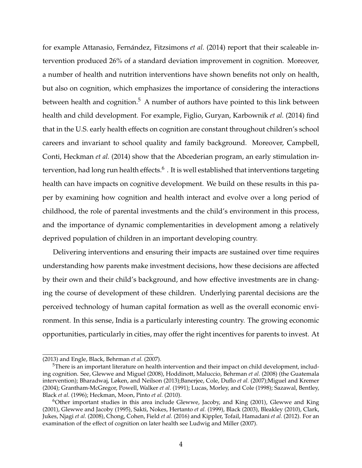for example [Attanasio, Fernández, Fitzsimons](#page-45-4) *et al.* [\(2014\)](#page-45-4) report that their scaleable intervention produced 26% of a standard deviation improvement in cognition. Moreover, a number of health and nutrition interventions have shown benefits not only on health, but also on cognition, which emphasizes the importance of considering the interactions between health and cognition.<sup>[5](#page-1-0)</sup> A number of authors have pointed to this link between health and child development. For example, [Figlio, Guryan, Karbownik](#page-47-10) *et al.* [\(2014\)](#page-47-10) find that in the U.S. early health effects on cognition are constant throughout children's school careers and invariant to school quality and family background. Moreover, [Campbell,](#page-46-4) [Conti, Heckman](#page-46-4) *et al.* [\(2014\)](#page-46-4) show that the Abcederian program, an early stimulation intervention, had long run health effects. $^6$  $^6$  . It is well established that interventions targeting health can have impacts on cognitive development. We build on these results in this paper by examining how cognition and health interact and evolve over a long period of childhood, the role of parental investments and the child's environment in this process, and the importance of dynamic complementarities in development among a relatively deprived population of children in an important developing country.

Delivering interventions and ensuring their impacts are sustained over time requires understanding how parents make investment decisions, how these decisions are affected by their own and their child's background, and how effective investments are in changing the course of development of these children. Underlying parental decisions are the perceived technology of human capital formation as well as the overall economic environment. In this sense, India is a particularly interesting country. The growing economic opportunities, particularly in cities, may offer the right incentives for parents to invest. At

[<sup>\(2013\)</sup>](#page-48-2) and [Engle, Black, Behrman](#page-47-11) *et al.* [\(2007\)](#page-47-11).

<sup>&</sup>lt;sup>5</sup>There is an important literature on health intervention and their impact on child development, including cognition. See, [Glewwe and Miguel](#page-48-3) [\(2008\)](#page-48-3), [Hoddinott, Maluccio, Behrman](#page-49-2) *et al.* [\(2008\)](#page-49-2) (the Guatemala intervention); [Bharadwaj, Løken, and Neilson](#page-45-2) [\(2013\)](#page-45-2)[;Banerjee, Cole, Duflo](#page-45-5) *et al.* [\(2007\)](#page-45-5)[;Miguel and Kremer](#page-49-3) [\(2004\)](#page-49-3); [Grantham-McGregor, Powell, Walker](#page-48-4) *et al.* [\(1991\)](#page-48-4); [Lucas, Morley, and Cole](#page-49-4) [\(1998\)](#page-49-4); [Sazawal, Bentley,](#page-50-2) [Black](#page-50-2) *et al.* [\(1996\)](#page-50-2); [Heckman, Moon, Pinto](#page-49-5) *et al.* [\(2010\)](#page-49-5).

 $6$ Other important studies in this area include [Glewwe, Jacoby, and King](#page-48-5)  $(2001)$ , [Glewwe and King](#page-48-6) [\(2001\)](#page-48-6), [Glewwe and Jacoby](#page-48-7) [\(1995\)](#page-48-7), [Sakti, Nokes, Hertanto](#page-50-3) *et al.* [\(1999\)](#page-50-3), [Black](#page-46-5) [\(2003\)](#page-46-5), [Bleakley](#page-46-6) [\(2010\)](#page-46-6), [Clark,](#page-46-7) [Jukes, Njagi](#page-46-7) *et al.* [\(2008\)](#page-46-7), [Chong, Cohen, Field](#page-46-8) *et al.* [\(2016\)](#page-46-8) and [Kippler, Tofail, Hamadani](#page-49-6) *et al.* [\(2012\)](#page-49-6). For an examination of the effect of cognition on later health see [Ludwig and Miller](#page-49-7) [\(2007\)](#page-49-7).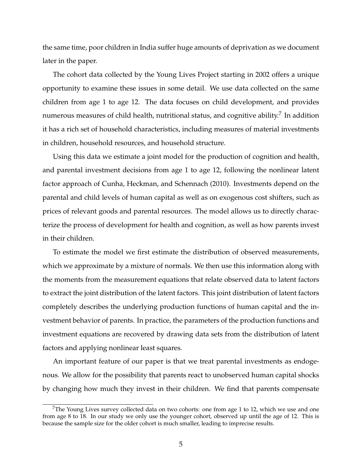the same time, poor children in India suffer huge amounts of deprivation as we document later in the paper.

The cohort data collected by the Young Lives Project starting in 2002 offers a unique opportunity to examine these issues in some detail. We use data collected on the same children from age 1 to age 12. The data focuses on child development, and provides numerous measures of child health, nutritional status, and cognitive ability. $^7$  $^7$  In addition it has a rich set of household characteristics, including measures of material investments in children, household resources, and household structure.

Using this data we estimate a joint model for the production of cognition and health, and parental investment decisions from age 1 to age 12, following the nonlinear latent factor approach of [Cunha, Heckman, and Schennach](#page-47-2) [\(2010\)](#page-47-2). Investments depend on the parental and child levels of human capital as well as on exogenous cost shifters, such as prices of relevant goods and parental resources. The model allows us to directly characterize the process of development for health and cognition, as well as how parents invest in their children.

To estimate the model we first estimate the distribution of observed measurements, which we approximate by a mixture of normals. We then use this information along with the moments from the measurement equations that relate observed data to latent factors to extract the joint distribution of the latent factors. This joint distribution of latent factors completely describes the underlying production functions of human capital and the investment behavior of parents. In practice, the parameters of the production functions and investment equations are recovered by drawing data sets from the distribution of latent factors and applying nonlinear least squares.

An important feature of our paper is that we treat parental investments as endogenous. We allow for the possibility that parents react to unobserved human capital shocks by changing how much they invest in their children. We find that parents compensate

<sup>&</sup>lt;sup>7</sup>The Young Lives survey collected data on two cohorts: one from age 1 to 12, which we use and one from age 8 to 18. In our study we only use the younger cohort, observed up until the age of 12. This is because the sample size for the older cohort is much smaller, leading to imprecise results.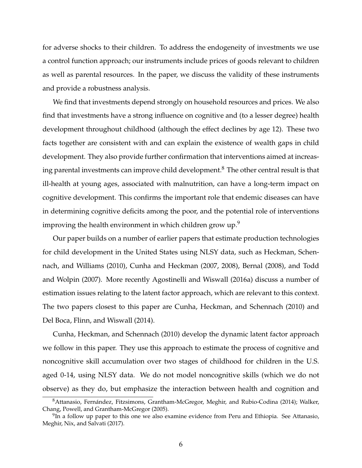for adverse shocks to their children. To address the endogeneity of investments we use a control function approach; our instruments include prices of goods relevant to children as well as parental resources. In the paper, we discuss the validity of these instruments and provide a robustness analysis.

We find that investments depend strongly on household resources and prices. We also find that investments have a strong influence on cognitive and (to a lesser degree) health development throughout childhood (although the effect declines by age 12). These two facts together are consistent with and can explain the existence of wealth gaps in child development. They also provide further confirmation that interventions aimed at increas-ing parental investments can improve child development.<sup>[8](#page-1-0)</sup> The other central result is that ill-health at young ages, associated with malnutrition, can have a long-term impact on cognitive development. This confirms the important role that endemic diseases can have in determining cognitive deficits among the poor, and the potential role of interventions improving the health environment in which children grow up.<sup>[9](#page-1-0)</sup>

Our paper builds on a number of earlier papers that estimate production technologies for child development in the United States using NLSY data, such as [Heckman, Schen](#page-49-8)[nach, and Williams](#page-49-8) [\(2010\)](#page-49-8), [Cunha and Heckman](#page-46-0) [\(2007,](#page-46-0) [2008\)](#page-46-9), [Bernal](#page-45-6) [\(2008\)](#page-45-6), and [Todd](#page-50-4) [and Wolpin](#page-50-4) [\(2007\)](#page-50-4). More recently [Agostinelli and Wiswall](#page-45-7) [\(2016a\)](#page-45-7) discuss a number of estimation issues relating to the latent factor approach, which are relevant to this context. The two papers closest to this paper are [Cunha, Heckman, and Schennach](#page-47-2) [\(2010\)](#page-47-2) and [Del Boca, Flinn, and Wiswall](#page-47-0) [\(2014\)](#page-47-0).

[Cunha, Heckman, and Schennach](#page-47-2) [\(2010\)](#page-47-2) develop the dynamic latent factor approach we follow in this paper. They use this approach to estimate the process of cognitive and noncognitive skill accumulation over two stages of childhood for children in the U.S. aged 0-14, using NLSY data. We do not model noncognitive skills (which we do not observe) as they do, but emphasize the interaction between health and cognition and

<sup>8</sup>[Attanasio, Fernández, Fitzsimons, Grantham-McGregor, Meghir, and Rubio-Codina](#page-45-4) [\(2014\)](#page-45-4); [Walker,](#page-50-1) [Chang, Powell, and Grantham-McGregor](#page-50-1) [\(2005\)](#page-50-1).

 $9$ In a follow up paper to this one we also examine evidence from Peru and Ethiopia. See [Attanasio,](#page-45-8) [Meghir, Nix, and Salvati](#page-45-8) [\(2017\)](#page-45-8).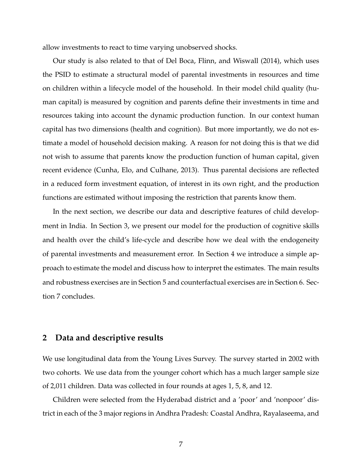allow investments to react to time varying unobserved shocks.

Our study is also related to that of [Del Boca, Flinn, and Wiswall](#page-47-0) [\(2014\)](#page-47-0), which uses the PSID to estimate a structural model of parental investments in resources and time on children within a lifecycle model of the household. In their model child quality (human capital) is measured by cognition and parents define their investments in time and resources taking into account the dynamic production function. In our context human capital has two dimensions (health and cognition). But more importantly, we do not estimate a model of household decision making. A reason for not doing this is that we did not wish to assume that parents know the production function of human capital, given recent evidence [\(Cunha, Elo, and Culhane,](#page-46-10) [2013\)](#page-46-10). Thus parental decisions are reflected in a reduced form investment equation, of interest in its own right, and the production functions are estimated without imposing the restriction that parents know them.

In the next section, we describe our data and descriptive features of child development in India. In Section 3, we present our model for the production of cognitive skills and health over the child's life-cycle and describe how we deal with the endogeneity of parental investments and measurement error. In Section 4 we introduce a simple approach to estimate the model and discuss how to interpret the estimates. The main results and robustness exercises are in Section 5 and counterfactual exercises are in Section 6. Section 7 concludes.

## **2 Data and descriptive results**

We use longitudinal data from the Young Lives Survey. The survey started in 2002 with two cohorts. We use data from the younger cohort which has a much larger sample size of 2,011 children. Data was collected in four rounds at ages 1, 5, 8, and 12.

Children were selected from the Hyderabad district and a 'poor' and 'nonpoor' district in each of the 3 major regions in Andhra Pradesh: Coastal Andhra, Rayalaseema, and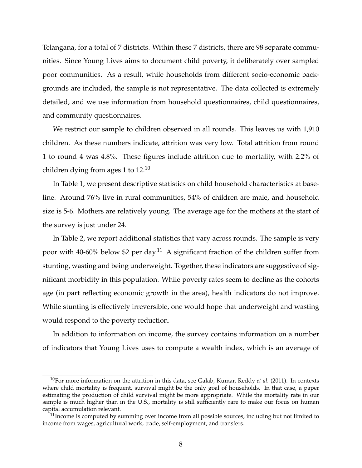Telangana, for a total of 7 districts. Within these 7 districts, there are 98 separate communities. Since Young Lives aims to document child poverty, it deliberately over sampled poor communities. As a result, while households from different socio-economic backgrounds are included, the sample is not representative. The data collected is extremely detailed, and we use information from household questionnaires, child questionnaires, and community questionnaires.

We restrict our sample to children observed in all rounds. This leaves us with 1,910 children. As these numbers indicate, attrition was very low. Total attrition from round 1 to round 4 was 4.8%. These figures include attrition due to mortality, with 2.2% of children dying from ages 1 to  $12^{10}$  $12^{10}$  $12^{10}$ 

In Table [1,](#page-9-0) we present descriptive statistics on child household characteristics at baseline. Around 76% live in rural communities, 54% of children are male, and household size is 5-6. Mothers are relatively young. The average age for the mothers at the start of the survey is just under 24.

In Table [2,](#page-10-0) we report additional statistics that vary across rounds. The sample is very poor with 40-60% below \$2 per day.[11](#page-1-0) A significant fraction of the children suffer from stunting, wasting and being underweight. Together, these indicators are suggestive of significant morbidity in this population. While poverty rates seem to decline as the cohorts age (in part reflecting economic growth in the area), health indicators do not improve. While stunting is effectively irreversible, one would hope that underweight and wasting would respond to the poverty reduction.

In addition to information on income, the survey contains information on a number of indicators that Young Lives uses to compute a wealth index, which is an average of

<sup>10</sup>For more information on the attrition in this data, see [Galab, Kumar, Reddy](#page-48-8) *et al.* [\(2011\)](#page-48-8). In contexts where child mortality is frequent, survival might be the only goal of households. In that case, a paper estimating the production of child survival might be more appropriate. While the mortality rate in our sample is much higher than in the U.S., mortality is still sufficiently rare to make our focus on human capital accumulation relevant.

 $11$ Income is computed by summing over income from all possible sources, including but not limited to income from wages, agricultural work, trade, self-employment, and transfers.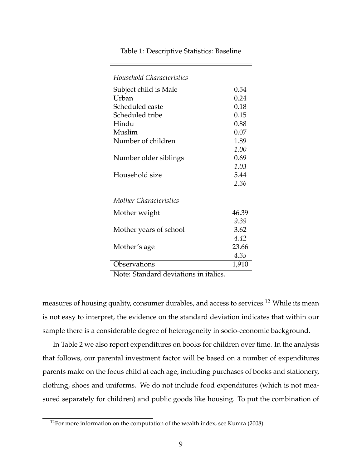| Household Characteristics |       |
|---------------------------|-------|
| Subject child is Male     | 0.54  |
| Urban                     | 0.24  |
| Scheduled caste           | 0.18  |
| Scheduled tribe           | 0.15  |
| Hindu                     | 0.88  |
| Muslim                    | 0.07  |
| Number of children        | 1.89  |
|                           | 1.00  |
| Number older siblings     | 0.69  |
|                           | 1.03  |
| Household size            | 5.44  |
|                           | 2.36  |
| Mother Characteristics    |       |
| Mother weight             | 46.39 |
|                           | 9.39  |
| Mother years of school    | 3.62  |
|                           | 4.42  |
| Mother's age              | 23.66 |
|                           | 4.35  |
| Observations              | 1,910 |

<span id="page-9-0"></span>Table 1: Descriptive Statistics: Baseline

Note: Standard deviations in italics.

measures of housing quality, consumer durables, and access to services.<sup>[12](#page-1-0)</sup> While its mean is not easy to interpret, the evidence on the standard deviation indicates that within our sample there is a considerable degree of heterogeneity in socio-economic background.

In Table [2](#page-10-0) we also report expenditures on books for children over time. In the analysis that follows, our parental investment factor will be based on a number of expenditures parents make on the focus child at each age, including purchases of books and stationery, clothing, shoes and uniforms. We do not include food expenditures (which is not measured separately for children) and public goods like housing. To put the combination of

 $12$ For more information on the computation of the wealth index, see [Kumra](#page-49-9) [\(2008\)](#page-49-9).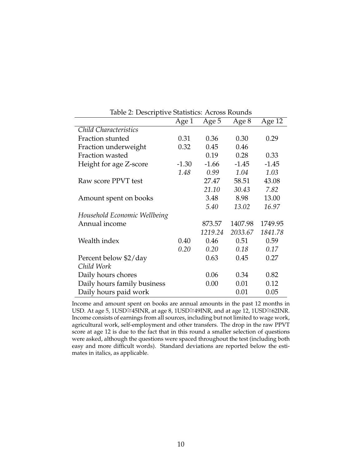|                              | Age 1   | Age 5   | Age 8   | Age 12  |
|------------------------------|---------|---------|---------|---------|
| Child Characteristics        |         |         |         |         |
| Fraction stunted             | 0.31    | 0.36    | 0.30    | 0.29    |
| Fraction underweight         | 0.32    | 0.45    | 0.46    |         |
| Fraction wasted              |         | 0.19    | 0.28    | 0.33    |
| Height for age Z-score       | $-1.30$ | $-1.66$ | $-1.45$ | $-1.45$ |
|                              | 1.48    | 0.99    | 1.04    | 1.03    |
| Raw score PPVT test          |         | 27.47   | 58.51   | 43.08   |
|                              |         | 21.10   | 30.43   | 7.82    |
| Amount spent on books        |         | 3.48    | 8.98    | 13.00   |
|                              |         | 5.40    | 13.02   | 16.97   |
| Household Economic Wellbeing |         |         |         |         |
| Annual income                |         | 873.57  | 1407.98 | 1749.95 |
|                              |         | 1219.24 | 2033.67 | 1841.78 |
| Wealth index                 | 0.40    | 0.46    | 0.51    | 0.59    |
|                              | 0.20    | 0.20    | 0.18    | 0.17    |
| Percent below \$2/day        |         | 0.63    | 0.45    | 0.27    |
| Child Work                   |         |         |         |         |
| Daily hours chores           |         | 0.06    | 0.34    | 0.82    |
| Daily hours family business  |         | 0.00    | 0.01    | 0.12    |
| Daily hours paid work        |         |         | 0.01    | 0.05    |

<span id="page-10-0"></span>Table 2: Descriptive Statistics: Across Rounds

Income and amount spent on books are annual amounts in the past 12 months in USD. At age 5, 1USD≅45INR, at age 8, 1USD≅49INR, and at age 12, 1USD≅62INR. Income consists of earnings from all sources, including but not limited to wage work, agricultural work, self-employment and other transfers. The drop in the raw PPVT score at age 12 is due to the fact that in this round a smaller selection of questions were asked, although the questions were spaced throughout the test (including both easy and more difficult words). Standard deviations are reported below the estimates in italics, as applicable.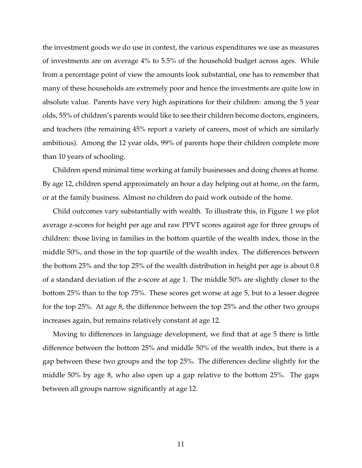the investment goods we do use in context, the various expenditures we use as measures of investments are on average 4% to 5.5% of the household budget across ages. While from a percentage point of view the amounts look substantial, one has to remember that many of these households are extremely poor and hence the investments are quite low in absolute value. Parents have very high aspirations for their children: among the 5 year olds, 55% of children's parents would like to see their children become doctors, engineers, and teachers (the remaining 45% report a variety of careers, most of which are similarly ambitious). Among the 12 year olds, 99% of parents hope their children complete more than 10 years of schooling.

Children spend minimal time working at family businesses and doing chores at home. By age 12, children spend approximately an hour a day helping out at home, on the farm, or at the family business. Almost no children do paid work outside of the home.

Child outcomes vary substantially with wealth. To illustrate this, in Figure [1](#page-12-0) we plot average z-scores for height per age and raw PPVT scores against age for three groups of children: those living in families in the bottom quartile of the wealth index, those in the middle 50%, and those in the top quartile of the wealth index. The differences between the bottom 25% and the top 25% of the wealth distribution in height per age is about 0.8 of a standard deviation of the z-score at age 1. The middle 50% are slightly closer to the bottom 25% than to the top 75%. These scores get worse at age 5, but to a lesser degree for the top 25%. At age 8, the difference between the top 25% and the other two groups increases again, but remains relatively constant at age 12.

Moving to differences in language development, we find that at age 5 there is little difference between the bottom 25% and middle 50% of the wealth index, but there is a gap between these two groups and the top 25%. The differences decline slightly for the middle 50% by age 8, who also open up a gap relative to the bottom 25%. The gaps between all groups narrow significantly at age 12.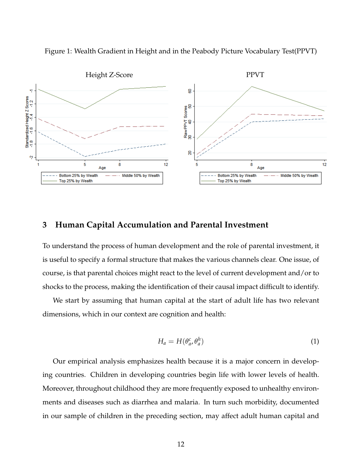

<span id="page-12-0"></span>Figure 1: Wealth Gradient in Height and in the Peabody Picture Vocabulary Test(PPVT)

## **3 Human Capital Accumulation and Parental Investment**

To understand the process of human development and the role of parental investment, it is useful to specify a formal structure that makes the various channels clear. One issue, of course, is that parental choices might react to the level of current development and/or to shocks to the process, making the identification of their causal impact difficult to identify.

We start by assuming that human capital at the start of adult life has two relevant dimensions, which in our context are cognition and health:

<span id="page-12-1"></span>
$$
H_a = H(\theta_a^c, \theta_a^h) \tag{1}
$$

Our empirical analysis emphasizes health because it is a major concern in developing countries. Children in developing countries begin life with lower levels of health. Moreover, throughout childhood they are more frequently exposed to unhealthy environments and diseases such as diarrhea and malaria. In turn such morbidity, documented in our sample of children in the preceding section, may affect adult human capital and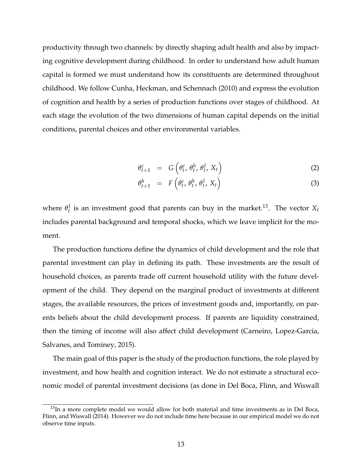productivity through two channels: by directly shaping adult health and also by impacting cognitive development during childhood. In order to understand how adult human capital is formed we must understand how its constituents are determined throughout childhood. We follow [Cunha, Heckman, and Schennach](#page-47-2) [\(2010\)](#page-47-2) and express the evolution of cognition and health by a series of production functions over stages of childhood. At each stage the evolution of the two dimensions of human capital depends on the initial conditions, parental choices and other environmental variables.

$$
\theta_{t+1}^c = G\left(\theta_t^c, \theta_t^h, \theta_t^I, X_t\right) \tag{2}
$$

$$
\theta_{t+1}^h = F\left(\theta_t^c, \theta_t^h, \theta_t^I, X_t\right) \tag{3}
$$

where  $\theta_t^I$  is an investment good that parents can buy in the market.<sup>[13](#page-1-0)</sup>. The vector  $X_t$ includes parental background and temporal shocks, which we leave implicit for the moment.

The production functions define the dynamics of child development and the role that parental investment can play in defining its path. These investments are the result of household choices, as parents trade off current household utility with the future development of the child. They depend on the marginal product of investments at different stages, the available resources, the prices of investment goods and, importantly, on parents beliefs about the child development process. If parents are liquidity constrained, then the timing of income will also affect child development [\(Carneiro, Lopez-Garcia,](#page-46-11) [Salvanes, and Tominey,](#page-46-11) [2015\)](#page-46-11).

The main goal of this paper is the study of the production functions, the role played by investment, and how health and cognition interact. We do not estimate a structural economic model of parental investment decisions (as done in [Del Boca, Flinn, and Wiswall](#page-47-0)

 $13$ In a more complete model we would allow for both material and time investments as in [Del Boca,](#page-47-0) [Flinn, and Wiswall](#page-47-0) [\(2014\)](#page-47-0). However we do not include time here because in our empirical model we do not observe time inputs.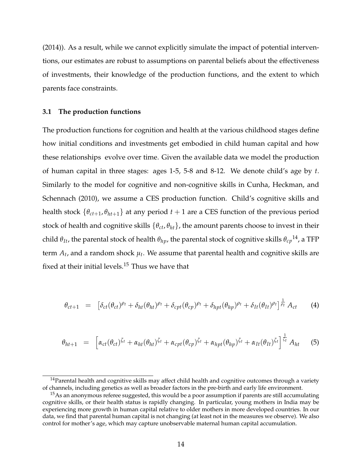[\(2014\)](#page-47-0)). As a result, while we cannot explicitly simulate the impact of potential interventions, our estimates are robust to assumptions on parental beliefs about the effectiveness of investments, their knowledge of the production functions, and the extent to which parents face constraints.

#### **3.1 The production functions**

The production functions for cognition and health at the various childhood stages define how initial conditions and investments get embodied in child human capital and how these relationships evolve over time. Given the available data we model the production of human capital in three stages: ages 1-5, 5-8 and 8-12. We denote child's age by *t*. Similarly to the model for cognitive and non-cognitive skills in [Cunha, Heckman, and](#page-47-2) [Schennach](#page-47-2) [\(2010\)](#page-47-2), we assume a CES production function. Child's cognitive skills and health stock  $\{\theta_{ct+1}, \theta_{ht+1}\}$  at any period  $t + 1$  are a CES function of the previous period stock of health and cognitive skills {*θct*, *θht*}, the amount parents choose to invest in their child  $θ_{It}$ , the parental stock of health  $θ_{hp}$ , the parental stock of cognitive skills  $θ_{cp}$ <sup>[14](#page-1-0)</sup>, a TFP term  $A_t$ , and a random shock  $\mu_t$ . We assume that parental health and cognitive skills are fixed at their initial levels.<sup>[15](#page-1-0)</sup> Thus we have that

<span id="page-14-0"></span>
$$
\theta_{ct+1} = \left[ \delta_{ct}(\theta_{ct})^{\rho_t} + \delta_{ht}(\theta_{ht})^{\rho_t} + \delta_{cpt}(\theta_{cp})^{\rho_t} + \delta_{hpt}(\theta_{hp})^{\rho_t} + \delta_{It}(\theta_{It})^{\rho_t} \right] \frac{1}{\rho_t} A_{ct}
$$
 (4)

<span id="page-14-1"></span>
$$
\theta_{ht+1} = \left[ \alpha_{ct}(\theta_{ct})^{\zeta_t} + \alpha_{ht}(\theta_{ht})^{\zeta_t} + \alpha_{cpt}(\theta_{cp})^{\zeta_t} + \alpha_{hpt}(\theta_{hp})^{\zeta_t} + \alpha_{It}(\theta_{It})^{\zeta_t} \right]^{\frac{1}{\zeta_t}} A_{ht}
$$
 (5)

 $14$ Parental health and cognitive skills may affect child health and cognitive outcomes through a variety of channels, including genetics as well as broader factors in the pre-birth and early life environment.

 $15$ As an anonymous referee suggested, this would be a poor assumption if parents are still accumulating cognitive skills, or their health status is rapidly changing. In particular, young mothers in India may be experiencing more growth in human capital relative to older mothers in more developed countries. In our data, we find that parental human capital is not changing (at least not in the measures we observe). We also control for mother's age, which may capture unobservable maternal human capital accumulation.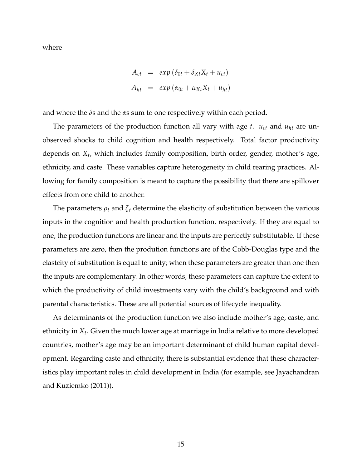where

$$
A_{ct} = exp(\delta_{0t} + \delta_{Xt}X_t + u_{ct})
$$
  

$$
A_{ht} = exp(\alpha_{0t} + \alpha_{Xt}X_t + u_{ht})
$$

and where the *δ*s and the *α*s sum to one respectively within each period.

The parameters of the production function all vary with age  $t$ .  $u_{ct}$  and  $u_{ht}$  are unobserved shocks to child cognition and health respectively. Total factor productivity depends on *X<sup>t</sup>* , which includes family composition, birth order, gender, mother's age, ethnicity, and caste. These variables capture heterogeneity in child rearing practices. Allowing for family composition is meant to capture the possibility that there are spillover effects from one child to another.

The parameters  $\rho_t$  and  $\zeta_t$  determine the elasticity of substitution between the various inputs in the cognition and health production function, respectively. If they are equal to one, the production functions are linear and the inputs are perfectly substitutable. If these parameters are zero, then the prodution functions are of the Cobb-Douglas type and the elastcity of substitution is equal to unity; when these parameters are greater than one then the inputs are complementary. In other words, these parameters can capture the extent to which the productivity of child investments vary with the child's background and with parental characteristics. These are all potential sources of lifecycle inequality.

As determinants of the production function we also include mother's age, caste, and ethnicity in *X<sup>t</sup>* . Given the much lower age at marriage in India relative to more developed countries, mother's age may be an important determinant of child human capital development. Regarding caste and ethnicity, there is substantial evidence that these characteristics play important roles in child development in India (for example, see [Jayachandran](#page-49-10) [and Kuziemko](#page-49-10) [\(2011\)](#page-49-10)).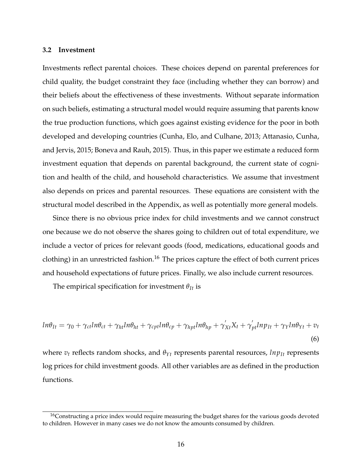#### **3.2 Investment**

Investments reflect parental choices. These choices depend on parental preferences for child quality, the budget constraint they face (including whether they can borrow) and their beliefs about the effectiveness of these investments. Without separate information on such beliefs, estimating a structural model would require assuming that parents know the true production functions, which goes against existing evidence for the poor in both developed and developing countries [\(Cunha, Elo, and Culhane,](#page-46-10) [2013;](#page-46-10) [Attanasio, Cunha,](#page-45-9) [and Jervis,](#page-45-9) [2015;](#page-45-9) [Boneva and Rauh,](#page-46-12) [2015\)](#page-46-12). Thus, in this paper we estimate a reduced form investment equation that depends on parental background, the current state of cognition and health of the child, and household characteristics. We assume that investment also depends on prices and parental resources. These equations are consistent with the structural model described in the Appendix, as well as potentially more general models.

Since there is no obvious price index for child investments and we cannot construct one because we do not observe the shares going to children out of total expenditure, we include a vector of prices for relevant goods (food, medications, educational goods and clothing) in an unrestricted fashion.<sup>[16](#page-1-0)</sup> The prices capture the effect of both current prices and household expectations of future prices. Finally, we also include current resources.

The empirical specification for investment  $\theta_{It}$  is

<span id="page-16-0"></span>
$$
ln\theta_{It} = \gamma_0 + \gamma_{ct}ln\theta_{ct} + \gamma_{ht}ln\theta_{ht} + \gamma_{cpt}ln\theta_{cp} + \gamma_{hpt}ln\theta_{hp} + \gamma'_{Xt}X_t + \gamma'_{pt}lnp_{It} + \gamma_Yln\theta_{Yt} + v_t
$$
\n(6)

where  $v_t$  reflects random shocks, and  $\theta_{Yt}$  represents parental resources,  $ln p_{It}$  represents log prices for child investment goods. All other variables are as defined in the production functions.

<sup>&</sup>lt;sup>16</sup>Constructing a price index would require measuring the budget shares for the various goods devoted to children. However in many cases we do not know the amounts consumed by children.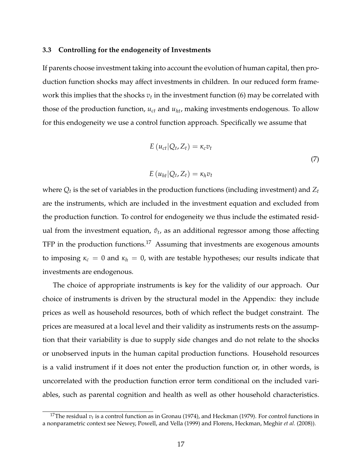#### **3.3 Controlling for the endogeneity of Investments**

If parents choose investment taking into account the evolution of human capital, then production function shocks may affect investments in children. In our reduced form framework this implies that the shocks  $v_t$  in the investment function [\(6\)](#page-16-0) may be correlated with those of the production function, *uct* and *uht*, making investments endogenous. To allow for this endogeneity we use a control function approach. Specifically we assume that

$$
E(u_{ct}|Q_t, Z_t) = \kappa_c v_t
$$
  
\n
$$
E(u_{ht}|Q_t, Z_t) = \kappa_h v_t
$$
\n(7)

where  $Q_t$  is the set of variables in the production functions (including investment) and  $Z_t$ are the instruments, which are included in the investment equation and excluded from the production function. To control for endogeneity we thus include the estimated residual from the investment equation,  $\hat{v}_t$ , as an additional regressor among those affecting TFP in the production functions.<sup>[17](#page-1-0)</sup> Assuming that investments are exogenous amounts to imposing  $\kappa_c = 0$  and  $\kappa_h = 0$ , with are testable hypotheses; our results indicate that investments are endogenous.

The choice of appropriate instruments is key for the validity of our approach. Our choice of instruments is driven by the structural model in the Appendix: they include prices as well as household resources, both of which reflect the budget constraint. The prices are measured at a local level and their validity as instruments rests on the assumption that their variability is due to supply side changes and do not relate to the shocks or unobserved inputs in the human capital production functions. Household resources is a valid instrument if it does not enter the production function or, in other words, is uncorrelated with the production function error term conditional on the included variables, such as parental cognition and health as well as other household characteristics.

<sup>&</sup>lt;sup>17</sup>The residual  $v_t$  is a control function as in [Gronau](#page-48-9) [\(1974\)](#page-48-9), and [Heckman](#page-48-10) [\(1979\)](#page-48-10). For control functions in a nonparametric context see [Newey, Powell, and Vella](#page-49-11) [\(1999\)](#page-49-11) and [Florens, Heckman, Meghir](#page-48-11) *et al.* [\(2008\)](#page-48-11)).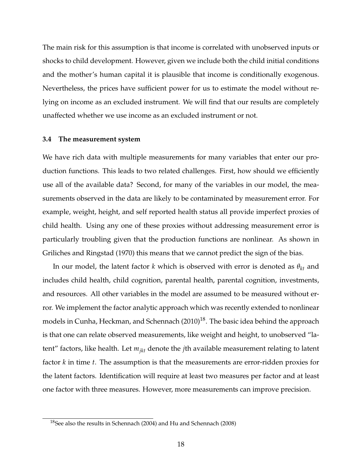The main risk for this assumption is that income is correlated with unobserved inputs or shocks to child development. However, given we include both the child initial conditions and the mother's human capital it is plausible that income is conditionally exogenous. Nevertheless, the prices have sufficient power for us to estimate the model without relying on income as an excluded instrument. We will find that our results are completely unaffected whether we use income as an excluded instrument or not.

#### **3.4 The measurement system**

We have rich data with multiple measurements for many variables that enter our production functions. This leads to two related challenges. First, how should we efficiently use all of the available data? Second, for many of the variables in our model, the measurements observed in the data are likely to be contaminated by measurement error. For example, weight, height, and self reported health status all provide imperfect proxies of child health. Using any one of these proxies without addressing measurement error is particularly troubling given that the production functions are nonlinear. As shown in [Griliches and Ringstad](#page-48-12) [\(1970\)](#page-48-12) this means that we cannot predict the sign of the bias.

In our model, the latent factor *k* which is observed with error is denoted as *θkt* and includes child health, child cognition, parental health, parental cognition, investments, and resources. All other variables in the model are assumed to be measured without error. We implement the factor analytic approach which was recently extended to nonlinear models in [Cunha, Heckman, and Schennach](#page-47-2) [\(2010\)](#page-47-2) $^{18}$  $^{18}$  $^{18}$ . The basic idea behind the approach is that one can relate observed measurements, like weight and height, to unobserved "latent" factors, like health. Let *mjkt* denote the *j*th available measurement relating to latent factor *k* in time *t*. The assumption is that the measurements are error-ridden proxies for the latent factors. Identification will require at least two measures per factor and at least one factor with three measures. However, more measurements can improve precision.

<sup>18</sup>See also the results in [Schennach](#page-50-5) [\(2004\)](#page-50-5) and [Hu and Schennach](#page-49-12) [\(2008\)](#page-49-12)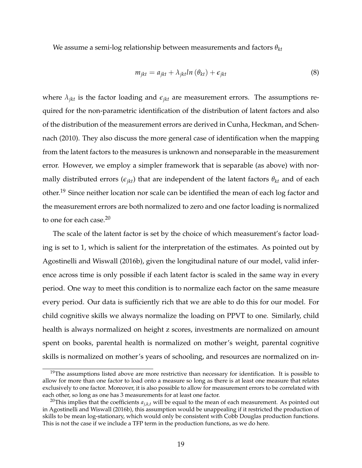We assume a semi-log relationship between measurements and factors *θkt*

$$
m_{jkt} = a_{jkt} + \lambda_{jkt} ln(\theta_{kt}) + \epsilon_{jkt}
$$
\n(8)

where  $\lambda_{jkt}$  is the factor loading and  $\epsilon_{jkt}$  are measurement errors. The assumptions required for the non-parametric identification of the distribution of latent factors and also of the distribution of the measurement errors are derived in [Cunha, Heckman, and Schen](#page-47-2)[nach](#page-47-2) [\(2010\)](#page-47-2). They also discuss the more general case of identification when the mapping from the latent factors to the measures is unknown and nonseparable in the measurement error. However, we employ a simpler framework that is separable (as above) with normally distributed errors ( $\epsilon_{jkt}$ ) that are independent of the latent factors  $\theta_{kt}$  and of each other.<sup>[19](#page-1-0)</sup> Since neither location nor scale can be identified the mean of each log factor and the measurement errors are both normalized to zero and one factor loading is normalized to one for each case.[20](#page-1-0)

The scale of the latent factor is set by the choice of which measurement's factor loading is set to 1, which is salient for the interpretation of the estimates. As pointed out by [Agostinelli and Wiswall](#page-45-10) [\(2016b\)](#page-45-10), given the longitudinal nature of our model, valid inference across time is only possible if each latent factor is scaled in the same way in every period. One way to meet this condition is to normalize each factor on the same measure every period. Our data is sufficiently rich that we are able to do this for our model. For child cognitive skills we always normalize the loading on PPVT to one. Similarly, child health is always normalized on height z scores, investments are normalized on amount spent on books, parental health is normalized on mother's weight, parental cognitive skills is normalized on mother's years of schooling, and resources are normalized on in-

 $19$ The assumptions listed above are more restrictive than necessary for identification. It is possible to allow for more than one factor to load onto a measure so long as there is at least one measure that relates exclusively to one factor. Moreover, it is also possible to allow for measurement errors to be correlated with each other, so long as one has 3 measurements for at least one factor.

<sup>&</sup>lt;sup>20</sup>This implies that the coefficients  $a_{j,k,t}$  will be equal to the mean of each measurement. As pointed out in [Agostinelli and Wiswall](#page-45-10) [\(2016b\)](#page-45-10), this assumption would be unappealing if it restricted the production of skills to be mean log-stationary, which would only be consistent with Cobb Douglas production functions. This is not the case if we include a TFP term in the production functions, as we do here.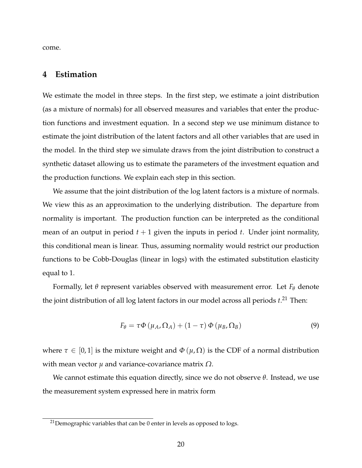come.

## **4 Estimation**

We estimate the model in three steps. In the first step, we estimate a joint distribution (as a mixture of normals) for all observed measures and variables that enter the production functions and investment equation. In a second step we use minimum distance to estimate the joint distribution of the latent factors and all other variables that are used in the model. In the third step we simulate draws from the joint distribution to construct a synthetic dataset allowing us to estimate the parameters of the investment equation and the production functions. We explain each step in this section.

We assume that the joint distribution of the log latent factors is a mixture of normals. We view this as an approximation to the underlying distribution. The departure from normality is important. The production function can be interpreted as the conditional mean of an output in period  $t + 1$  given the inputs in period  $t$ . Under joint normality, this conditional mean is linear. Thus, assuming normality would restrict our production functions to be Cobb-Douglas (linear in logs) with the estimated substitution elasticity equal to 1.

Formally, let  $\theta$  represent variables observed with measurement error. Let  $F_{\theta}$  denote the joint distribution of all log latent factors in our model across all periods *t*. [21](#page-1-0) Then:

$$
F_{\theta} = \tau \Phi \left( \mu_A, \Omega_A \right) + (1 - \tau) \Phi \left( \mu_B, \Omega_B \right) \tag{9}
$$

where  $\tau \in [0,1]$  is the mixture weight and  $\Phi(\mu,\Omega)$  is the CDF of a normal distribution with mean vector *µ* and variance-covariance matrix *Ω*.

We cannot estimate this equation directly, since we do not observe *θ*. Instead, we use the measurement system expressed here in matrix form

 $21$ Demographic variables that can be 0 enter in levels as opposed to logs.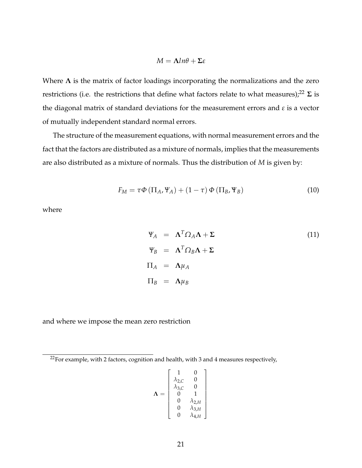$$
M = \Lambda ln \theta + \Sigma \varepsilon
$$

Where  $\Lambda$  is the matrix of factor loadings incorporating the normalizations and the zero restrictions (i.e. the restrictions that define what factors relate to what measures);<sup>[22](#page-1-0)</sup>  $\Sigma$  is the diagonal matrix of standard deviations for the measurement errors and *ε* is a vector of mutually independent standard normal errors.

The structure of the measurement equations, with normal measurement errors and the fact that the factors are distributed as a mixture of normals, implies that the measurements are also distributed as a mixture of normals. Thus the distribution of *M* is given by:

$$
F_M = \tau \Phi \left( \Pi_A, \Psi_A \right) + (1 - \tau) \Phi \left( \Pi_B, \Psi_B \right) \tag{10}
$$

where

<span id="page-21-0"></span>
$$
\Psi_A = \Lambda^T \Omega_A \Lambda + \Sigma
$$
\n
$$
\Psi_B = \Lambda^T \Omega_B \Lambda + \Sigma
$$
\n
$$
\Pi_A = \Lambda \mu_A
$$
\n
$$
\Pi_B = \Lambda \mu_B
$$
\n(11)

and where we impose the mean zero restriction

$$
\Lambda = \begin{bmatrix} 1 & 0 \\ \lambda_{2,C} & 0 \\ \lambda_{3,C} & 0 \\ 0 & 1 \\ 0 & \lambda_{2,H} \\ 0 & \lambda_{3,H} \\ 0 & \lambda_{4,H} \end{bmatrix}
$$

1  $\perp$  $\overline{1}$  $\overline{1}$  $\overline{1}$  $\overline{1}$  $\overline{1}$  $\overline{1}$  $\overline{1}$  $\overline{1}$ 

 $22$ For example, with 2 factors, cognition and health, with 3 and 4 measures respectively,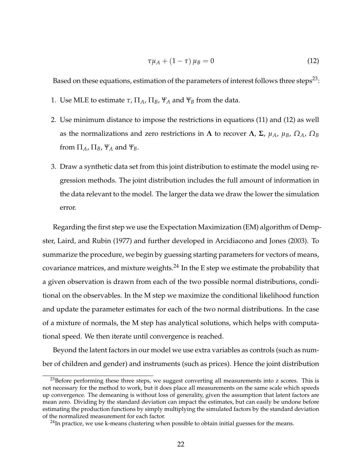<span id="page-22-0"></span>
$$
\tau \mu_A + (1 - \tau) \mu_B = 0 \tag{12}
$$

Based on these equations, estimation of the parameters of interest follows three steps<sup>[23](#page-1-0)</sup>:

- 1. Use MLE to estimate  $\tau$ ,  $\Pi_A$ ,  $\Pi_B$ ,  $\Psi_A$  and  $\Psi_B$  from the data.
- 2. Use minimum distance to impose the restrictions in equations [\(11\)](#page-21-0) and [\(12\)](#page-22-0) as well as the normalizations and zero restrictions in  $\Lambda$  to recover  $\Lambda$ ,  $\Sigma$ ,  $\mu_A$ ,  $\mu_B$ ,  $\Omega_A$ ,  $\Omega_B$ from  $\Pi_A$ ,  $\Pi_B$ ,  $\Psi_A$  and  $\Psi_B$ .
- 3. Draw a synthetic data set from this joint distribution to estimate the model using regression methods. The joint distribution includes the full amount of information in the data relevant to the model. The larger the data we draw the lower the simulation error.

Regarding the first step we use the Expectation Maximization (EM) algorithm of [Demp](#page-47-12)[ster, Laird, and Rubin](#page-47-12) [\(1977\)](#page-47-12) and further developed in [Arcidiacono and Jones](#page-45-11) [\(2003\)](#page-45-11). To summarize the procedure, we begin by guessing starting parameters for vectors of means, covariance matrices, and mixture weights. $^{24}$  $^{24}$  $^{24}$  In the E step we estimate the probability that a given observation is drawn from each of the two possible normal distributions, conditional on the observables. In the M step we maximize the conditional likelihood function and update the parameter estimates for each of the two normal distributions. In the case of a mixture of normals, the M step has analytical solutions, which helps with computational speed. We then iterate until convergence is reached.

Beyond the latent factors in our model we use extra variables as controls (such as number of children and gender) and instruments (such as prices). Hence the joint distribution

 $23$ Before performing these three steps, we suggest converting all measurements into z scores. This is not necessary for the method to work, but it does place all measurements on the same scale which speeds up convergence. The demeaning is without loss of generality, given the assumption that latent factors are mean zero. Dividing by the standard deviation can impact the estimates, but can easily be undone before estimating the production functions by simply multiplying the simulated factors by the standard deviation of the normalized measurement for each factor.

 $^{24}$ In practice, we use k-means clustering when possible to obtain initial guesses for the means.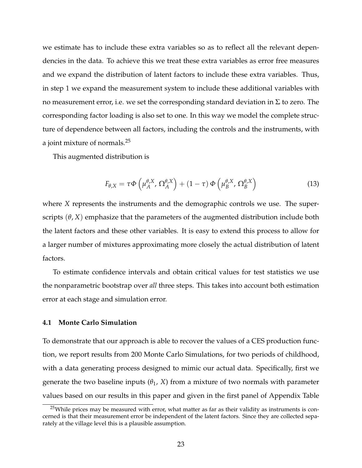we estimate has to include these extra variables so as to reflect all the relevant dependencies in the data. To achieve this we treat these extra variables as error free measures and we expand the distribution of latent factors to include these extra variables. Thus, in step 1 we expand the measurement system to include these additional variables with no measurement error, i.e. we set the corresponding standard deviation in  $\Sigma$  to zero. The corresponding factor loading is also set to one. In this way we model the complete structure of dependence between all factors, including the controls and the instruments, with a joint mixture of normals.[25](#page-1-0)

This augmented distribution is

$$
F_{\theta,X} = \tau \Phi \left( \mu_A^{\theta,X}, \Omega_A^{\theta,X} \right) + (1 - \tau) \Phi \left( \mu_B^{\theta,X}, \Omega_B^{\theta,X} \right) \tag{13}
$$

where *X* represents the instruments and the demographic controls we use. The superscripts  $(\theta, X)$  emphasize that the parameters of the augmented distribution include both the latent factors and these other variables. It is easy to extend this process to allow for a larger number of mixtures approximating more closely the actual distribution of latent factors.

To estimate confidence intervals and obtain critical values for test statistics we use the nonparametric bootstrap over *all* three steps. This takes into account both estimation error at each stage and simulation error.

#### **4.1 Monte Carlo Simulation**

To demonstrate that our approach is able to recover the values of a CES production function, we report results from 200 Monte Carlo Simulations, for two periods of childhood, with a data generating process designed to mimic our actual data. Specifically, first we generate the two baseline inputs  $(\theta_1, X)$  from a mixture of two normals with parameter values based on our results in this paper and given in the first panel of Appendix Table

 $25$ While prices may be measured with error, what matter as far as their validity as instruments is concerned is that their measurement error be independent of the latent factors. Since they are collected separately at the village level this is a plausible assumption.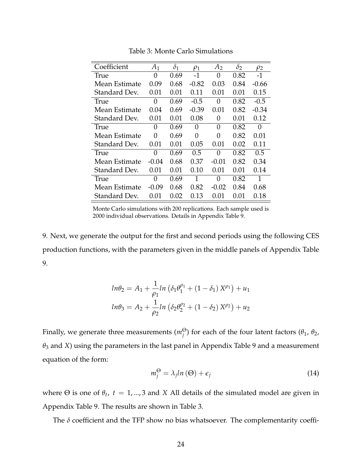| Coefficient   | A <sub>1</sub> | $\delta_1$ | $\rho_1$ | A <sub>2</sub> | $\delta_2$ | $\rho_2$      |
|---------------|----------------|------------|----------|----------------|------------|---------------|
| True          | 0              | 0.69       | $-1$     | 0              | 0.82       | $-1$          |
| Mean Estimate | 0.09           | 0.68       | $-0.82$  | 0.03           | 0.84       | -0.66         |
| Standard Dev. | 0.01           | 0.01       | 0.11     | 0.01           | 0.01       | 0.15          |
| <b>True</b>   | 0              | 0.69       | $-0.5$   | 0              | 0.82       | $-0.5$        |
| Mean Estimate | 0.04           | 0.69       | $-0.39$  | 0.01           | 0.82       | -0.34         |
| Standard Dev. | 0.01           | 0.01       | 0.08     | 0              | 0.01       | 0.12          |
| True          | 0              | 0.69       | 0        | 0              | 0.82       | 0             |
| Mean Estimate | 0              | 0.69       | 0        | 0              | 0.82       | 0.01          |
| Standard Dev. | 0.01           | 0.01       | 0.05     | 0.01           | 0.02       | 0.11          |
| True          | 0              | 0.69       | 0.5      | 0              | 0.82       | $0.5^{\circ}$ |
| Mean Estimate | $-0.04$        | 0.68       | 0.37     | -0.01          | 0.82       | 0.34          |
| Standard Dev. | 0.01           | 0.01       | 0.10     | 0.01           | 0.01       | 0.14          |
| True          | 0              | 0.69       | 1        | 0              | 0.82       | 1             |
| Mean Estimate | $-0.09$        | 0.68       | 0.82     | $-0.02$        | 0.84       | 0.68          |
| Standard Dev. | 0.01           | 0.02       | 0.13     | 0.01           | 0.01       | 0.18          |

<span id="page-24-0"></span>Table 3: Monte Carlo Simulations

Monte Carlo simulations with 200 replications. Each sample used is 2000 individual observations. Details in Appendix Table [9.](#page-54-0)

[9.](#page-54-0) Next, we generate the output for the first and second periods using the following CES production functions, with the parameters given in the middle panels of Appendix Table [9.](#page-54-0)

$$
ln\theta_2 = A_1 + \frac{1}{\rho_1} ln \left( \delta_1 \theta_1^{\rho_1} + (1 - \delta_1) X^{\rho_1} \right) + u_1
$$
  

$$
ln\theta_3 = A_2 + \frac{1}{\rho_2} ln \left( \delta_2 \theta_2^{\rho_2} + (1 - \delta_2) X^{\rho_2} \right) + u_2
$$

Finally, we generate three measurements (*m*<sup>Θ</sup> *j* ) for each of the four latent factors (*θ*1, *θ*2, *θ*<sup>3</sup> and *X*) using the parameters in the last panel in Appendix Table [9](#page-54-0) and a measurement equation of the form:

$$
m_j^{\Theta} = \lambda_j ln(\Theta) + \epsilon_j \tag{14}
$$

where  $\Theta$  is one of  $\theta_t$ ,  $t = 1, ..., 3$  and *X* All details of the simulated model are given in Appendix Table [9.](#page-54-0) The results are shown in Table [3.](#page-24-0)

The  $\delta$  coefficient and the TFP show no bias whatsoever. The complementarity coeffi-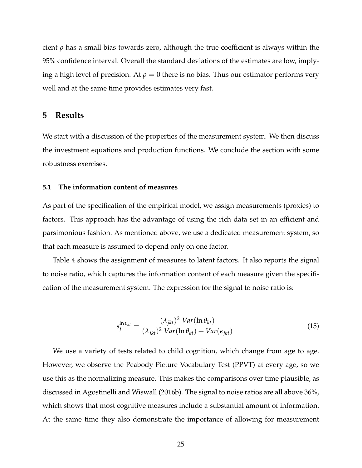cient *ρ* has a small bias towards zero, although the true coefficient is always within the 95% confidence interval. Overall the standard deviations of the estimates are low, implying a high level of precision. At  $\rho = 0$  there is no bias. Thus our estimator performs very well and at the same time provides estimates very fast.

#### **5 Results**

We start with a discussion of the properties of the measurement system. We then discuss the investment equations and production functions. We conclude the section with some robustness exercises.

#### **5.1 The information content of measures**

As part of the specification of the empirical model, we assign measurements (proxies) to factors. This approach has the advantage of using the rich data set in an efficient and parsimonious fashion. As mentioned above, we use a dedicated measurement system, so that each measure is assumed to depend only on one factor.

Table [4](#page-26-0) shows the assignment of measures to latent factors. It also reports the signal to noise ratio, which captures the information content of each measure given the specification of the measurement system. The expression for the signal to noise ratio is:

$$
s_j^{\ln \theta_{kt}} = \frac{(\lambda_{jkt})^2 \ Var(\ln \theta_{kt})}{(\lambda_{jkt})^2 \ Var(\ln \theta_{kt}) + Var(\epsilon_{jkt})}
$$
(15)

We use a variety of tests related to child cognition, which change from age to age. However, we observe the Peabody Picture Vocabulary Test (PPVT) at every age, so we use this as the normalizing measure. This makes the comparisons over time plausible, as discussed in [Agostinelli and Wiswall](#page-45-10) [\(2016b\)](#page-45-10). The signal to noise ratios are all above 36%, which shows that most cognitive measures include a substantial amount of information. At the same time they also demonstrate the importance of allowing for measurement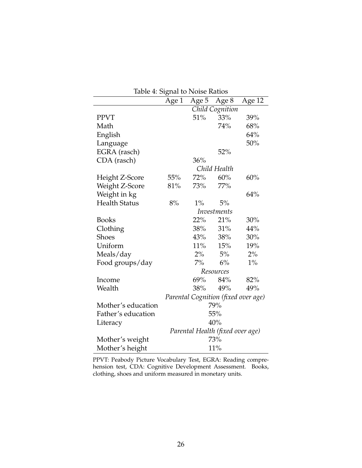| Table 4: Signal to Noise Ratios |         |         |                                  |                                     |  |
|---------------------------------|---------|---------|----------------------------------|-------------------------------------|--|
|                                 | Age $1$ | Age $5$ | Age 8                            | Age 12                              |  |
|                                 |         |         | Child Cognition                  |                                     |  |
| <b>PPVT</b>                     |         | 51%     | 33%                              | 39%                                 |  |
| Math                            |         |         | 74%                              | 68%                                 |  |
| English                         |         |         |                                  | 64%                                 |  |
| Language                        |         |         |                                  | 50%                                 |  |
| EGRA (rasch)                    |         |         | 52%                              |                                     |  |
| CDA (rasch)                     |         | 36%     |                                  |                                     |  |
|                                 |         |         | Child Health                     |                                     |  |
| Height Z-Score                  | 55%     | 72%     | 60%                              | 60%                                 |  |
| Weight Z-Score                  | 81%     | 73%     | 77%                              |                                     |  |
| Weight in kg                    |         |         |                                  | 64%                                 |  |
| <b>Health Status</b>            | 8%      | $1\%$   | 5%                               |                                     |  |
|                                 |         |         | Investments                      |                                     |  |
| <b>Books</b>                    |         | 22%     | 21%                              | 30%                                 |  |
| Clothing                        |         |         | 38% 31%                          | 44%                                 |  |
| <b>Shoes</b>                    |         | 43%     | 38%                              | 30%                                 |  |
| Uniform                         |         |         | 11% 15%                          | 19%                                 |  |
| Meals/day                       |         | $2\%$   | 5%                               | $2\%$                               |  |
| Food groups/day                 |         | $7\%$   | 6%                               | $1\%$                               |  |
|                                 |         |         | Resources                        |                                     |  |
| Income                          |         | 69%     | 84%                              | 82%                                 |  |
| Wealth                          |         | 38%     | 49%                              | 49%                                 |  |
|                                 |         |         |                                  | Parental Cognition (fixed over age) |  |
| Mother's education              |         |         | 79%                              |                                     |  |
| Father's education              |         |         | 55%                              |                                     |  |
| Literacy                        | 40%     |         |                                  |                                     |  |
|                                 |         |         | Parental Health (fixed over age) |                                     |  |
| Mother's weight                 |         |         | 73%                              |                                     |  |
| Mother's height                 |         |         | 11%                              |                                     |  |

<span id="page-26-0"></span>Table 4: Signal to Noise Ratios

PPVT: Peabody Picture Vocabulary Test, EGRA: Reading comprehension test, CDA: Cognitive Development Assessment. Books, clothing, shoes and uniform measured in monetary units.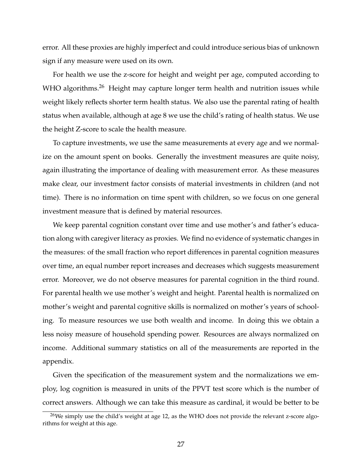error. All these proxies are highly imperfect and could introduce serious bias of unknown sign if any measure were used on its own.

For health we use the z-score for height and weight per age, computed according to WHO algorithms.<sup>[26](#page-1-0)</sup> Height may capture longer term health and nutrition issues while weight likely reflects shorter term health status. We also use the parental rating of health status when available, although at age 8 we use the child's rating of health status. We use the height Z-score to scale the health measure.

To capture investments, we use the same measurements at every age and we normalize on the amount spent on books. Generally the investment measures are quite noisy, again illustrating the importance of dealing with measurement error. As these measures make clear, our investment factor consists of material investments in children (and not time). There is no information on time spent with children, so we focus on one general investment measure that is defined by material resources.

We keep parental cognition constant over time and use mother's and father's education along with caregiver literacy as proxies. We find no evidence of systematic changes in the measures: of the small fraction who report differences in parental cognition measures over time, an equal number report increases and decreases which suggests measurement error. Moreover, we do not observe measures for parental cognition in the third round. For parental health we use mother's weight and height. Parental health is normalized on mother's weight and parental cognitive skills is normalized on mother's years of schooling. To measure resources we use both wealth and income. In doing this we obtain a less noisy measure of household spending power. Resources are always normalized on income. Additional summary statistics on all of the measurements are reported in the appendix.

Given the specification of the measurement system and the normalizations we employ, log cognition is measured in units of the PPVT test score which is the number of correct answers. Although we can take this measure as cardinal, it would be better to be

 $26$ We simply use the child's weight at age 12, as the WHO does not provide the relevant z-score algorithms for weight at this age.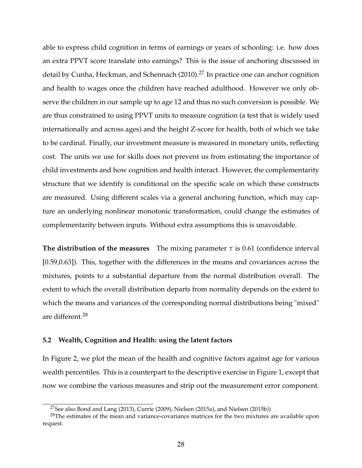able to express child cognition in terms of earnings or years of schooling: i.e. how does an extra PPVT score translate into earnings? This is the issue of anchoring discussed in detail by [Cunha, Heckman, and Schennach](#page-47-2) [\(2010\)](#page-47-2).<sup>[27](#page-1-0)</sup> In practice one can anchor cognition and health to wages once the children have reached adulthood. However we only observe the children in our sample up to age 12 and thus no such conversion is possible. We are thus constrained to using PPVT units to measure cognition (a test that is widely used internationally and across ages) and the height Z-score for health, both of which we take to be cardinal. Finally, our investment measure is measured in monetary units, reflecting cost. The units we use for skills does not prevent us from estimating the importance of child investments and how cognition and health interact. However, the complementarity structure that we identify is conditional on the specific scale on which these constructs are measured. Using different scales via a general anchoring function, which may capture an underlying nonlinear monotonic transformation, could change the estimates of complementarity between inputs. Without extra assumptions this is unavoidable.

**The distribution of the measures** The mixing parameter *τ* is 0.61 (confidence interval [0.59,0.63]). This, together with the differences in the means and covariances across the mixtures, points to a substantial departure from the normal distribution overall. The extent to which the overall distribution departs from normality depends on the extent to which the means and variances of the corresponding normal distributions being "mixed" are different.[28](#page-1-0)

#### **5.2 Wealth, Cognition and Health: using the latent factors**

In Figure [2,](#page-29-0) we plot the mean of the health and cognitive factors against age for various wealth percentiles. This is a counterpart to the descriptive exercise in Figure [1,](#page-12-0) except that now we combine the various measures and strip out the measurement error component.

<sup>&</sup>lt;sup>27</sup>See also [Bond and Lang](#page-46-13) [\(2013\)](#page-46-13), [Currie](#page-47-13) [\(2009\)](#page-47-13), [Nielsen](#page-50-7) [\(2015a\)](#page-50-6), and Nielsen [\(2015b\)](#page-50-7))

<sup>&</sup>lt;sup>28</sup>The estimates of the mean and variance-covariance matrices for the two mixtures are available upon request.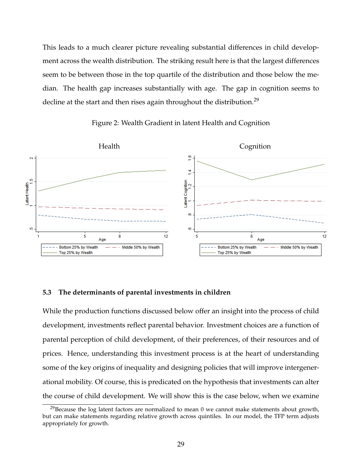This leads to a much clearer picture revealing substantial differences in child development across the wealth distribution. The striking result here is that the largest differences seem to be between those in the top quartile of the distribution and those below the median. The health gap increases substantially with age. The gap in cognition seems to decline at the start and then rises again throughout the distribution.<sup>[29](#page-1-0)</sup>



<span id="page-29-0"></span>Figure 2: Wealth Gradient in latent Health and Cognition

#### **5.3 The determinants of parental investments in children**

While the production functions discussed below offer an insight into the process of child development, investments reflect parental behavior. Investment choices are a function of parental perception of child development, of their preferences, of their resources and of prices. Hence, understanding this investment process is at the heart of understanding some of the key origins of inequality and designing policies that will improve intergenerational mobility. Of course, this is predicated on the hypothesis that investments can alter the course of child development. We will show this is the case below, when we examine

 $29$ Because the log latent factors are normalized to mean 0 we cannot make statements about growth, but can make statements regarding relative growth across quintiles. In our model, the TFP term adjusts appropriately for growth.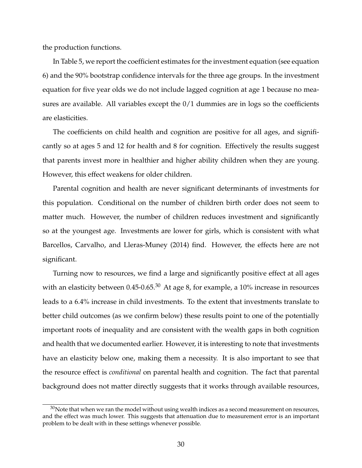the production functions.

In Table [5,](#page-31-0) we report the coefficient estimates for the investment equation (see equation [6\)](#page-16-0) and the 90% bootstrap confidence intervals for the three age groups. In the investment equation for five year olds we do not include lagged cognition at age 1 because no measures are available. All variables except the 0/1 dummies are in logs so the coefficients are elasticities.

The coefficients on child health and cognition are positive for all ages, and significantly so at ages 5 and 12 for health and 8 for cognition. Effectively the results suggest that parents invest more in healthier and higher ability children when they are young. However, this effect weakens for older children.

Parental cognition and health are never significant determinants of investments for this population. Conditional on the number of children birth order does not seem to matter much. However, the number of children reduces investment and significantly so at the youngest age. Investments are lower for girls, which is consistent with what [Barcellos, Carvalho, and Lleras-Muney](#page-45-12) [\(2014\)](#page-45-12) find. However, the effects here are not significant.

Turning now to resources, we find a large and significantly positive effect at all ages with an elasticity between  $0.45$ - $0.65$ <sup>[30](#page-1-0)</sup> At age 8, for example, a 10% increase in resources leads to a 6.4% increase in child investments. To the extent that investments translate to better child outcomes (as we confirm below) these results point to one of the potentially important roots of inequality and are consistent with the wealth gaps in both cognition and health that we documented earlier. However, it is interesting to note that investments have an elasticity below one, making them a necessity. It is also important to see that the resource effect is *conditional* on parental health and cognition. The fact that parental background does not matter directly suggests that it works through available resources,

 $30$ Note that when we ran the model without using wealth indices as a second measurement on resources, and the effect was much lower. This suggests that attenuation due to measurement error is an important problem to be dealt with in these settings whenever possible.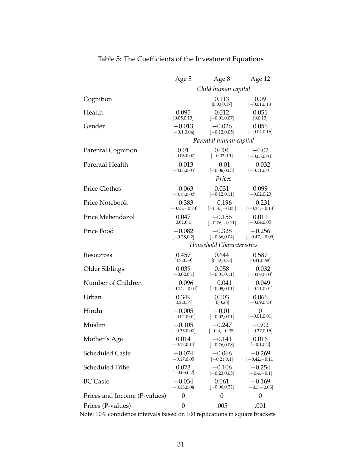|                              | Age 5           | Age 8                     | Age 12                  |
|------------------------------|-----------------|---------------------------|-------------------------|
|                              |                 | Child human capital       |                         |
| Cognition                    |                 | 0.113<br>[0.03, 0.17]     | 0.09<br>$[-0.01, 0.13]$ |
| Health                       | 0.095           | 0.012                     | 0.051                   |
|                              | [0.05, 0.13]    | $[-0.01, 0.07]$           | [0,0.13]                |
| Gender                       | $-0.013$        | $-0.026$                  | 0.056                   |
|                              | $[-0.1, 0.04]$  | $[-0.12, 0.05]$           | $[-0.04, 0.16]$         |
|                              |                 | Parental human capital    |                         |
| <b>Parental Cognition</b>    | 0.01            | 0.004                     | $-0.02$                 |
|                              | $[-0.06, 0.07]$ | $[-0.02, 0.1]$            | $[-0.05, 0.04]$         |
| Parental Health              | $-0.013$        | $-0.01$                   | $-0.032$                |
|                              | $[-0.05, 0.04]$ | $[-0.06, 0.03]$           | $[-0.11, 0.01]$         |
|                              |                 | Prices                    |                         |
| <b>Price Clothes</b>         | $-0.063$        | 0.031                     | 0.099                   |
|                              | $[-0.15, 0.02]$ | $[-0.12, 0.11]$           | $[-0.02, 0.23]$         |
| Price Notebook               | $-0.383$        | $-0.196$                  | $-0.231$                |
|                              | $[-0.53,-0.23]$ | $[-0.37,-0.05]$           | $[-0.34,-0.13]$         |
| Price Mebendazol             | 0.047           | $-0.156$                  | 0.011                   |
|                              | [0.01, 0.1]     | $[-0.26,-0.11]$           | $[-0.04, 0.05]$         |
| Price Food                   | $-0.082$        | $-0.328$                  | $-0.256$                |
|                              | $[-0.28, 0.2]$  | $[-0.66, 0.04]$           | $[-0.47,-0.09]$         |
|                              |                 | Household Characteristics |                         |
| Resources                    | 0.457           | 0.644                     | 0.587                   |
|                              | [0.3, 0.59]     | [0.42, 0.75]              | [0.41, 0.68]            |
| Older Siblings               | 0.039           | 0.058                     | $-0.032$                |
|                              | $[-0.02, 0.1]$  | $[-0.01, 0.11]$           | $[-0.09, 0.03]$         |
| Number of Children           | $-0.096$        | $-0.041$                  | $-0.049$                |
|                              | $[-0.14,-0.04]$ | $[-0.09, 0.01]$           | $[-0.11, 0.01]$         |
| Urban                        | 0.349           | 0.103                     | 0.066                   |
|                              | [0.2, 0.54]     | [0,0.28]                  | $[-0.09, 0.23]$         |
| Hindu                        | $-0.005$        | $-0.01$                   | 0                       |
|                              | $[-0.02, 0.01]$ | $[-0.02, 0.01]$           | $[-0.01, 0.01]$         |
| Muslim                       | $-0.105$        | $-0.247$                  | $-0.02$                 |
|                              | $[-0.33, 0.07]$ | $[-0.4,-0.05]$            | $[-0.27, 0.15]$         |
| Mother's Age                 | 0.014           | $-0.141$                  | 0.016                   |
|                              | $ -0.12, 0.14 $ | $[-0.26, 0.08]$           | $[-0.1, 0.2]$           |
| <b>Scheduled Caste</b>       | $-0.074$        | $-0.066$                  | $-0.269$                |
|                              | $[-0.17, 0.05]$ | $[-0.21, 0.1]$            | $[-0.42,-0.11]$         |
| Scheduled Tribe              | 0.073           | $-0.106$                  | $-0.254$                |
|                              | $[-0.05, 0.2]$  | $[-0.23, 0.05]$           | $[-0.4,-0.1]$           |
| <b>BC</b> Caste              | $-0.034$        | 0.061                     | $-0.169$                |
|                              | $-0.15, 0.08]$  | $-0.06, 0.22]$            | $-0.3, -0.05$           |
| Prices and Income (P-values) | 0               | 0                         | $\boldsymbol{0}$        |
| Prices (P-values)            | 0               | .005                      | .001                    |

<span id="page-31-0"></span>Table 5: The Coefficients of the Investment Equations

Note: 90% confidence intervals based on 100 replications in square brackets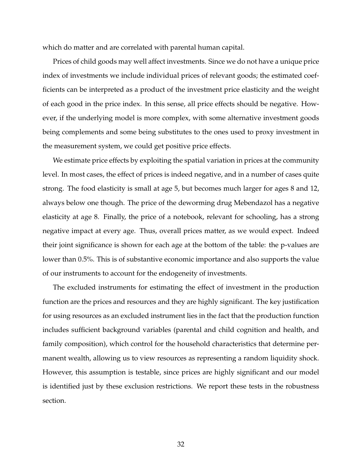which do matter and are correlated with parental human capital.

Prices of child goods may well affect investments. Since we do not have a unique price index of investments we include individual prices of relevant goods; the estimated coefficients can be interpreted as a product of the investment price elasticity and the weight of each good in the price index. In this sense, all price effects should be negative. However, if the underlying model is more complex, with some alternative investment goods being complements and some being substitutes to the ones used to proxy investment in the measurement system, we could get positive price effects.

We estimate price effects by exploiting the spatial variation in prices at the community level. In most cases, the effect of prices is indeed negative, and in a number of cases quite strong. The food elasticity is small at age 5, but becomes much larger for ages 8 and 12, always below one though. The price of the deworming drug Mebendazol has a negative elasticity at age 8. Finally, the price of a notebook, relevant for schooling, has a strong negative impact at every age. Thus, overall prices matter, as we would expect. Indeed their joint significance is shown for each age at the bottom of the table: the p-values are lower than 0.5%. This is of substantive economic importance and also supports the value of our instruments to account for the endogeneity of investments.

The excluded instruments for estimating the effect of investment in the production function are the prices and resources and they are highly significant. The key justification for using resources as an excluded instrument lies in the fact that the production function includes sufficient background variables (parental and child cognition and health, and family composition), which control for the household characteristics that determine permanent wealth, allowing us to view resources as representing a random liquidity shock. However, this assumption is testable, since prices are highly significant and our model is identified just by these exclusion restrictions. We report these tests in the robustness section.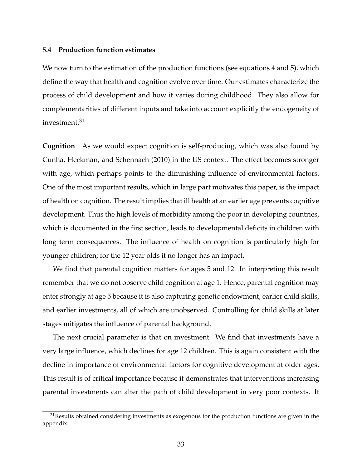#### **5.4 Production function estimates**

We now turn to the estimation of the production functions (see equations [4](#page-14-0) and [5\)](#page-14-1), which define the way that health and cognition evolve over time. Our estimates characterize the process of child development and how it varies during childhood. They also allow for complementarities of different inputs and take into account explicitly the endogeneity of investment.<sup>[31](#page-1-0)</sup>

**Cognition** As we would expect cognition is self-producing, which was also found by [Cunha, Heckman, and Schennach](#page-47-2) [\(2010\)](#page-47-2) in the US context. The effect becomes stronger with age, which perhaps points to the diminishing influence of environmental factors. One of the most important results, which in large part motivates this paper, is the impact of health on cognition. The result implies that ill health at an earlier age prevents cognitive development. Thus the high levels of morbidity among the poor in developing countries, which is documented in the first section, leads to developmental deficits in children with long term consequences. The influence of health on cognition is particularly high for younger children; for the 12 year olds it no longer has an impact.

We find that parental cognition matters for ages 5 and 12. In interpreting this result remember that we do not observe child cognition at age 1. Hence, parental cognition may enter strongly at age 5 because it is also capturing genetic endowment, earlier child skills, and earlier investments, all of which are unobserved. Controlling for child skills at later stages mitigates the influence of parental background.

The next crucial parameter is that on investment. We find that investments have a very large influence, which declines for age 12 children. This is again consistent with the decline in importance of environmental factors for cognitive development at older ages. This result is of critical importance because it demonstrates that interventions increasing parental investments can alter the path of child development in very poor contexts. It

 $31$ Results obtained considering investments as exogenous for the production functions are given in the appendix.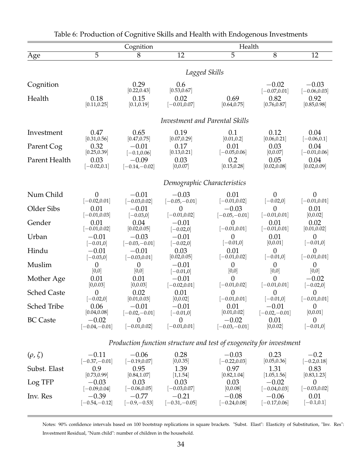|                    |                  |                      |                     | Health                                                              |                            |                            |  |
|--------------------|------------------|----------------------|---------------------|---------------------------------------------------------------------|----------------------------|----------------------------|--|
|                    | $\overline{5}$   | Cognition<br>8       | 12                  | $\overline{5}$                                                      | 8                          | 12                         |  |
| Age                |                  |                      |                     |                                                                     |                            |                            |  |
|                    | Lagged Skills    |                      |                     |                                                                     |                            |                            |  |
| Cognition          |                  | 0.29<br>[0.22, 0.43] | 0.6<br>[0.53, 0.67] |                                                                     | $-0.02$<br>$[-0.07, 0.01]$ | $-0.03$<br>$[-0.06, 0.03]$ |  |
| Health             | 0.18             | 0.15                 | 0.02                | 0.69                                                                | 0.82                       | 0.92                       |  |
|                    | [0.11, 0.25]     | [0.1, 0.19]          | $[-0.01, 0.07]$     | [0.64, 0.75]                                                        | [0.76, 0.87]               | [0.85, 0.98]               |  |
|                    |                  |                      |                     | Investment and Parental Skills                                      |                            |                            |  |
| Investment         | 0.47             | 0.65                 | 0.19                | 0.1                                                                 | 0.12                       | 0.04                       |  |
|                    | [0.31, 0.56]     | [0.47, 0.75]         | [0.07, 0.29]        | [0.01, 0.2]                                                         | [0.06, 0.21]               | $[-0.06, 0.1]$             |  |
| Parent Cog         | 0.32             | $-0.01$              | 0.17                | 0.01                                                                | 0.03                       | 0.04                       |  |
|                    | [0.25, 0.39]     | $[-0.1, 0.06]$       | [0.13, 0.21]        | $[-0.05, 0.06]$                                                     | [0,0.07]                   | $[-0.01, 0.06]$            |  |
| Parent Health      | 0.03             | $-0.09$              | 0.03                | 0.2                                                                 | 0.05                       | 0.04                       |  |
|                    | $[-0.02, 0.1]$   | $[-0.14,-0.02]$      | [0,0.07]            | [0.15, 0.28]                                                        | [0.02, 0.08]               | [0.02, 0.09]               |  |
|                    |                  |                      |                     | Demographic Characteristics                                         |                            |                            |  |
| Num Child          | $\theta$         | $-0.01$              | $-0.03$             | 0.01                                                                | $\overline{0}$             | $\theta$                   |  |
|                    | $[-0.02, 0.01]$  | $[-0.03, 0.02]$      | $[-0.05,-0.01]$     | $[-0.01, 0.02]$                                                     | $[-0.02, 0]$               | $[-0.01, 0.01]$            |  |
| Older Sibs         | 0.01             | $-0.01$              | $\overline{0}$      | $-0.03$                                                             | $\overline{0}$             | 0.01                       |  |
|                    | $[-0.01, 0.03]$  | $[-0.03, 0]$         | $[-0.01, 0.02]$     | $[-0.05,-0.01]$                                                     | $[-0.01, 0.01]$            | [0,0.02]                   |  |
| Gender             | 0.01             | 0.04                 | $-0.01$             | $\theta$                                                            | 0.01                       | 0.02                       |  |
|                    | $[-0.01, 0.02]$  | [0.02, 0.05]         | $[-0.02, 0]$        | $[-0.01, 0.01]$                                                     | $[-0.01, 0.01]$            | [0.01, 0.02]               |  |
| Urban              | $-0.01$          | $-0.03$              | $-0.01$             | $\theta$                                                            | 0.01                       | $\theta$                   |  |
|                    | $[-0.01, 0]$     | $[-0.03,-0.01]$      | $[-0.02, 0]$        | $[-0.01, 0]$                                                        | [0,0.01]                   | $[-0.01, 0]$               |  |
| Hindu              | $-0.01$          | $-0.01$              | 0.03                | 0.01                                                                | $\overline{0}$             | $\theta$                   |  |
|                    | $[-0.03, 0]$     | $[-0.03, 0.01]$      | [0.02, 0.05]        | $[-0.01, 0.02]$                                                     | $[-0.01, 0]$               | $[-0.01, 0.01]$            |  |
| Muslim             | $\boldsymbol{0}$ | $\boldsymbol{0}$     | $-0.01$             | $\theta$                                                            | $\overline{0}$             | $\theta$                   |  |
|                    | [0,0]            | [0,0]                | $[-0.01, 0]$        | [0,0]                                                               | [0,0]                      | [0,0]                      |  |
| Mother Age         | 0.01             | 0.01                 | $-0.01$             | $\theta$                                                            | $\theta$                   | $-0.02$                    |  |
|                    | [0,0.03]         | [0,0.03]             | $[-0.02, 0.01]$     | $[-0.01, 0.02]$                                                     | $[-0.01, 0.01]$            | $[-0.02, 0]$               |  |
| <b>Sched Caste</b> | $\overline{0}$   | 0.02                 | 0.01                | $\theta$                                                            | $\theta$                   | $\overline{0}$             |  |
|                    | $[-0.02, 0]$     | [0.01, 0.03]         | [0,0.02]            | $[-0.01, 0.01]$                                                     | $[-0.01, 0]$               | $[-0.01, 0.01]$            |  |
| <b>Sched Tribe</b> | 0.06             | $-0.01$              | $-0.01$             | 0.01                                                                | $-0.01$                    | $\theta$                   |  |
|                    | [0.04, 0.08]     | $[-0.02,-0.01]$      | $[-0.01, 0]$        | [0.01, 0.02]                                                        | $[-0.02,-0.01]$            | [0,0.01]                   |  |
| <b>BC</b> Caste    | $-0.02$          | $\theta$             | $\overline{0}$      | $-0.02$                                                             | 0.01                       | $\theta$                   |  |
|                    | $[-0.04,-0.01]$  | $[-0.01, 0.02]$      | $[-0.01, 0.01]$     | $[-0.03,-0.01]$                                                     | [0,0.02]                   | $[-0.01, 0]$               |  |
|                    |                  |                      |                     | Production function structure and test of exogeneity for investment |                            |                            |  |
| $(\rho, \zeta)$    | $-0.11$          | $-0.06$              | 0.28                | $-0.03$                                                             | 0.23                       | $-0.2$                     |  |
|                    | $[-0.37,-0.01]$  | $[-0.19, 0.07]$      | [0, 0.35]           | $[-0.22, 0.03]$                                                     | [0.05, 0.36]               | $[-0.2, 0.18]$             |  |
| Subst. Elast       | 0.9              | 0.95                 | 1.39                | 0.97                                                                | 1.31                       | 0.83                       |  |
|                    | [0.73, 0.99]     | [0.84, 1.07]         | [1,1.54]            | [0.82, 1.04]                                                        | [1.05, 1.56]               | [0.83, 1.23]               |  |
| Log TFP            | $-0.03$          | 0.03                 | 0.03                | 0.03                                                                | $-0.02$                    | $\theta$                   |  |
|                    | $[-0.09, 0.04]$  | $[-0.06, 0.05]$      | $[-0.03, 0.07]$     | [0,0.08]                                                            | $[-0.04, 0.03]$            | $[-0.03, 0.02]$            |  |
| Inv. Res           | $-0.39$          | $-0.77$              | $-0.21$             | $-0.08$                                                             | $-0.06$                    | 0.01                       |  |
|                    | $[-0.54,-0.12]$  | $[-0.9,-0.53]$       | $[-0.31,-0.05]$     | $[-0.24, 0.08]$                                                     | $[-0.17, 0.06]$            | $[-0.1, 0.1]$              |  |

<span id="page-34-0"></span>Table 6: Production of Cognitive Skills and Health with Endogenous Investments

Notes: 90% confidence intervals based on 100 bootstrap replications in square brackets. "Subst. Elast": Elasticity of Substitution, "Inv. Res": Investment Residual, "Num child": number of children in the household.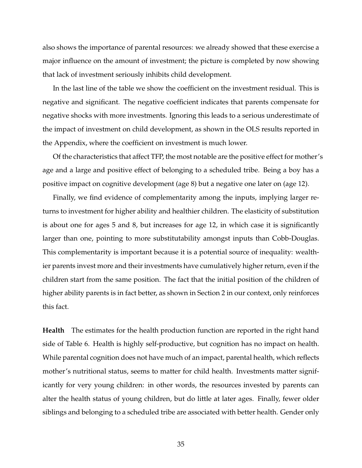also shows the importance of parental resources: we already showed that these exercise a major influence on the amount of investment; the picture is completed by now showing that lack of investment seriously inhibits child development.

In the last line of the table we show the coefficient on the investment residual. This is negative and significant. The negative coefficient indicates that parents compensate for negative shocks with more investments. Ignoring this leads to a serious underestimate of the impact of investment on child development, as shown in the OLS results reported in the Appendix, where the coefficient on investment is much lower.

Of the characteristics that affect TFP, the most notable are the positive effect for mother's age and a large and positive effect of belonging to a scheduled tribe. Being a boy has a positive impact on cognitive development (age 8) but a negative one later on (age 12).

Finally, we find evidence of complementarity among the inputs, implying larger returns to investment for higher ability and healthier children. The elasticity of substitution is about one for ages 5 and 8, but increases for age 12, in which case it is significantly larger than one, pointing to more substitutability amongst inputs than Cobb-Douglas. This complementarity is important because it is a potential source of inequality: wealthier parents invest more and their investments have cumulatively higher return, even if the children start from the same position. The fact that the initial position of the children of higher ability parents is in fact better, as shown in Section 2 in our context, only reinforces this fact.

**Health** The estimates for the health production function are reported in the right hand side of Table [6.](#page-34-0) Health is highly self-productive, but cognition has no impact on health. While parental cognition does not have much of an impact, parental health, which reflects mother's nutritional status, seems to matter for child health. Investments matter significantly for very young children: in other words, the resources invested by parents can alter the health status of young children, but do little at later ages. Finally, fewer older siblings and belonging to a scheduled tribe are associated with better health. Gender only

35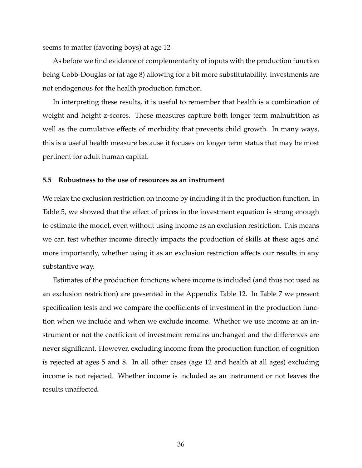seems to matter (favoring boys) at age 12

As before we find evidence of complementarity of inputs with the production function being Cobb-Douglas or (at age 8) allowing for a bit more substitutability. Investments are not endogenous for the health production function.

In interpreting these results, it is useful to remember that health is a combination of weight and height z-scores. These measures capture both longer term malnutrition as well as the cumulative effects of morbidity that prevents child growth. In many ways, this is a useful health measure because it focuses on longer term status that may be most pertinent for adult human capital.

## **5.5 Robustness to the use of resources as an instrument**

We relax the exclusion restriction on income by including it in the production function. In Table [5,](#page-31-0) we showed that the effect of prices in the investment equation is strong enough to estimate the model, even without using income as an exclusion restriction. This means we can test whether income directly impacts the production of skills at these ages and more importantly, whether using it as an exclusion restriction affects our results in any substantive way.

Estimates of the production functions where income is included (and thus not used as an exclusion restriction) are presented in the Appendix Table [12.](#page-58-0) In Table [7](#page-37-0) we present specification tests and we compare the coefficients of investment in the production function when we include and when we exclude income. Whether we use income as an instrument or not the coefficient of investment remains unchanged and the differences are never significant. However, excluding income from the production function of cognition is rejected at ages 5 and 8. In all other cases (age 12 and health at all ages) excluding income is not rejected. Whether income is included as an instrument or not leaves the results unaffected.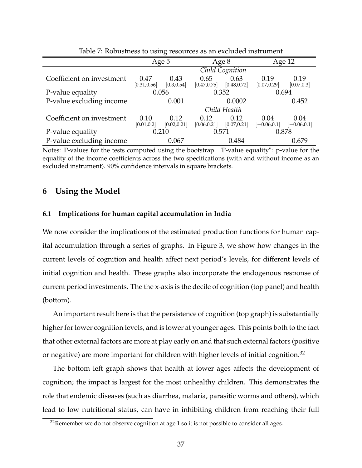| — ⊙                       |                      |                      |                      |                      |                        |                        |
|---------------------------|----------------------|----------------------|----------------------|----------------------|------------------------|------------------------|
|                           | Age 5                |                      | Age 8                |                      | Age 12                 |                        |
|                           |                      |                      |                      | Child Cognition      |                        |                        |
| Coefficient on investment | 0.47<br>[0.31, 0.56] | 0.43<br>[0.3, 0.54]  | 0.65<br>[0.47, 0.75] | 0.63<br>[0.48, 0.72] | 0.19<br>[0.07, 0.29]   | 0.19<br>[0.07, 0.3]    |
| P-value equality          | 0.056<br>0.352       |                      | 0.694                |                      |                        |                        |
| P-value excluding income  |                      | 0.001                |                      | 0.0002               |                        | 0.452                  |
|                           |                      |                      |                      | Child Health         |                        |                        |
| Coefficient on investment | 0.10<br>[0.01, 0.2]  | 0.12<br>[0.02, 0.21] | 0.12<br>[0.06, 0.21] | 0.12<br>[0.07, 0.21] | 0.04<br>$[-0.06, 0.1]$ | 0.04<br>$[-0.06, 0.1]$ |
| P-value equality          |                      | 0.210                | 0.571                |                      | 0.878                  |                        |
| P-value excluding income  |                      | 0.067                |                      | 0.484                |                        | 0.679                  |

<span id="page-37-0"></span>Table 7: Robustness to using resources as an excluded instrument

Notes: P-values for the tests computed using the bootstrap. "P-value equality": p-value for the equality of the income coefficients across the two specifications (with and without income as an excluded instrument). 90% confidence intervals in square brackets.

## **6 Using the Model**

#### **6.1 Implications for human capital accumulation in India**

We now consider the implications of the estimated production functions for human capital accumulation through a series of graphs. In Figure [3,](#page-38-0) we show how changes in the current levels of cognition and health affect next period's levels, for different levels of initial cognition and health. These graphs also incorporate the endogenous response of current period investments. The the x-axis is the decile of cognition (top panel) and health (bottom).

An important result here is that the persistence of cognition (top graph) is substantially higher for lower cognition levels, and is lower at younger ages. This points both to the fact that other external factors are more at play early on and that such external factors (positive or negative) are more important for children with higher levels of initial cognition.<sup>[32](#page-1-0)</sup>

The bottom left graph shows that health at lower ages affects the development of cognition; the impact is largest for the most unhealthy children. This demonstrates the role that endemic diseases (such as diarrhea, malaria, parasitic worms and others), which lead to low nutritional status, can have in inhibiting children from reaching their full

 $32$ Remember we do not observe cognition at age 1 so it is not possible to consider all ages.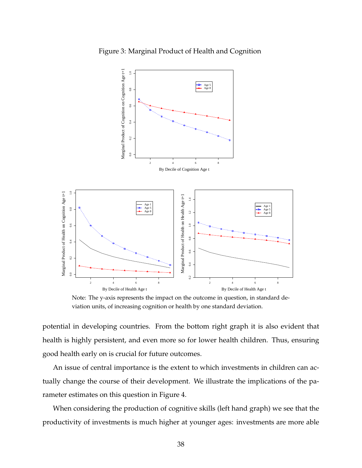

<span id="page-38-0"></span>Figure 3: Marginal Product of Health and Cognition

Note: The y-axis represents the impact on the outcome in question, in standard deviation units, of increasing cognition or health by one standard deviation.

potential in developing countries. From the bottom right graph it is also evident that health is highly persistent, and even more so for lower health children. Thus, ensuring good health early on is crucial for future outcomes.

An issue of central importance is the extent to which investments in children can actually change the course of their development. We illustrate the implications of the parameter estimates on this question in Figure [4.](#page-39-0)

When considering the production of cognitive skills (left hand graph) we see that the productivity of investments is much higher at younger ages: investments are more able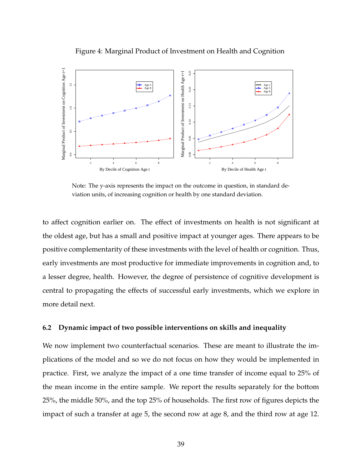<span id="page-39-0"></span>



Note: The y-axis represents the impact on the outcome in question, in standard deviation units, of increasing cognition or health by one standard deviation.

to affect cognition earlier on. The effect of investments on health is not significant at the oldest age, but has a small and positive impact at younger ages. There appears to be positive complementarity of these investments with the level of health or cognition. Thus, early investments are most productive for immediate improvements in cognition and, to a lesser degree, health. However, the degree of persistence of cognitive development is central to propagating the effects of successful early investments, which we explore in more detail next.

#### **6.2 Dynamic impact of two possible interventions on skills and inequality**

We now implement two counterfactual scenarios. These are meant to illustrate the implications of the model and so we do not focus on how they would be implemented in practice. First, we analyze the impact of a one time transfer of income equal to 25% of the mean income in the entire sample. We report the results separately for the bottom 25%, the middle 50%, and the top 25% of households. The first row of figures depicts the impact of such a transfer at age 5, the second row at age 8, and the third row at age 12.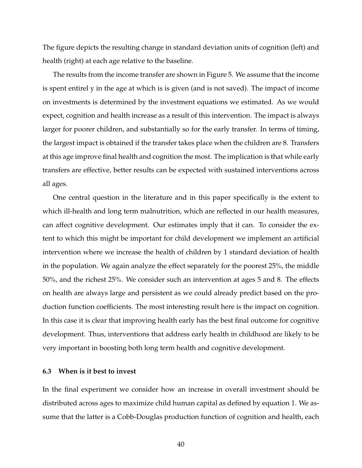The figure depicts the resulting change in standard deviation units of cognition (left) and health (right) at each age relative to the baseline.

The results from the income transfer are shown in Figure [5.](#page-41-0) We assume that the income is spent entirel y in the age at which is is given (and is not saved). The impact of income on investments is determined by the investment equations we estimated. As we would expect, cognition and health increase as a result of this intervention. The impact is always larger for poorer children, and substantially so for the early transfer. In terms of timing, the largest impact is obtained if the transfer takes place when the children are 8. Transfers at this age improve final health and cognition the most. The implication is that while early transfers are effective, better results can be expected with sustained interventions across all ages.

One central question in the literature and in this paper specifically is the extent to which ill-health and long term malnutrition, which are reflected in our health measures, can affect cognitive development. Our estimates imply that it can. To consider the extent to which this might be important for child development we implement an artificial intervention where we increase the health of children by 1 standard deviation of health in the population. We again analyze the effect separately for the poorest 25%, the middle 50%, and the richest 25%. We consider such an intervention at ages 5 and 8. The effects on health are always large and persistent as we could already predict based on the production function coefficients. The most interesting result here is the impact on cognition. In this case it is clear that improving health early has the best final outcome for cognitive development. Thus, interventions that address early health in childhood are likely to be very important in boosting both long term health and cognitive development.

#### **6.3 When is it best to invest**

In the final experiment we consider how an increase in overall investment should be distributed across ages to maximize child human capital as defined by equation [1.](#page-12-1) We assume that the latter is a Cobb-Douglas production function of cognition and health, each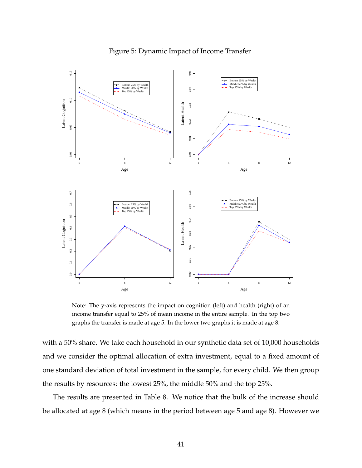

<span id="page-41-0"></span>Figure 5: Dynamic Impact of Income Transfer

Note: The y-axis represents the impact on cognition (left) and health (right) of an income transfer equal to 25% of mean income in the entire sample. In the top two graphs the transfer is made at age 5. In the lower two graphs it is made at age 8.

with a 50% share. We take each household in our synthetic data set of 10,000 households and we consider the optimal allocation of extra investment, equal to a fixed amount of one standard deviation of total investment in the sample, for every child. We then group the results by resources: the lowest 25%, the middle 50% and the top 25%.

The results are presented in Table [8.](#page-43-0) We notice that the bulk of the increase should be allocated at age 8 (which means in the period between age 5 and age 8). However we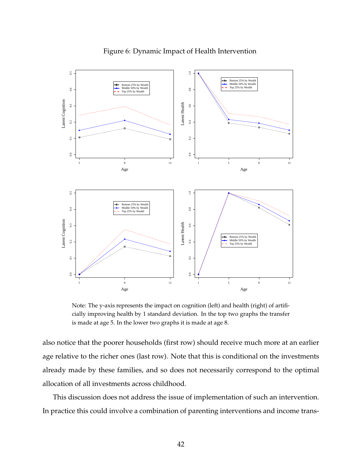

Figure 6: Dynamic Impact of Health Intervention

Note: The y-axis represents the impact on cognition (left) and health (right) of artificially improving health by 1 standard deviation. In the top two graphs the transfer is made at age 5. In the lower two graphs it is made at age 8.

also notice that the poorer households (first row) should receive much more at an earlier age relative to the richer ones (last row). Note that this is conditional on the investments already made by these families, and so does not necessarily correspond to the optimal allocation of all investments across childhood.

This discussion does not address the issue of implementation of such an intervention. In practice this could involve a combination of parenting interventions and income trans-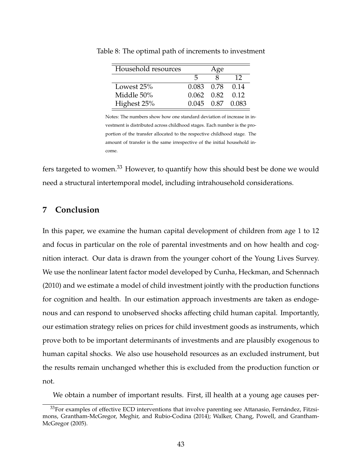<span id="page-43-0"></span>

| Household resources |                 | Age |                  |
|---------------------|-----------------|-----|------------------|
|                     | h               |     | 12               |
| Lowest 25%          | 0.083 0.78 0.14 |     |                  |
| Middle 50%          | 0.062 0.82      |     | 0.12             |
| Highest 25%         |                 |     | 0.045 0.87 0.083 |

Table 8: The optimal path of increments to investment

Notes: The numbers show how one standard deviation of increase in investment is distributed across childhood stages. Each number is the proportion of the transfer allocated to the respective childhood stage. The amount of transfer is the same irrespective of the initial household income.

fers targeted to women.<sup>[33](#page-1-0)</sup> However, to quantify how this should best be done we would need a structural intertemporal model, including intrahousehold considerations.

## **7 Conclusion**

In this paper, we examine the human capital development of children from age 1 to 12 and focus in particular on the role of parental investments and on how health and cognition interact. Our data is drawn from the younger cohort of the Young Lives Survey. We use the nonlinear latent factor model developed by [Cunha, Heckman, and Schennach](#page-47-2) [\(2010\)](#page-47-2) and we estimate a model of child investment jointly with the production functions for cognition and health. In our estimation approach investments are taken as endogenous and can respond to unobserved shocks affecting child human capital. Importantly, our estimation strategy relies on prices for child investment goods as instruments, which prove both to be important determinants of investments and are plausibly exogenous to human capital shocks. We also use household resources as an excluded instrument, but the results remain unchanged whether this is excluded from the production function or not.

We obtain a number of important results. First, ill health at a young age causes per-

<sup>&</sup>lt;sup>33</sup>For examples of effective ECD interventions that involve parenting see [Attanasio, Fernández, Fitzsi](#page-45-4)[mons, Grantham-McGregor, Meghir, and Rubio-Codina](#page-45-4) [\(2014\)](#page-45-4); [Walker, Chang, Powell, and Grantham-](#page-50-1)[McGregor](#page-50-1) [\(2005\)](#page-50-1).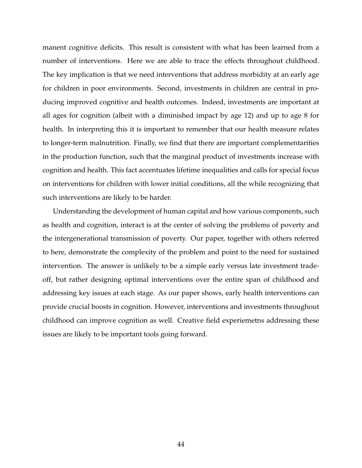manent cognitive deficits. This result is consistent with what has been learned from a number of interventions. Here we are able to trace the effects throughout childhood. The key implication is that we need interventions that address morbidity at an early age for children in poor environments. Second, investments in children are central in producing improved cognitive and health outcomes. Indeed, investments are important at all ages for cognition (albeit with a diminished impact by age 12) and up to age 8 for health. In interpreting this it is important to remember that our health measure relates to longer-term malnutrition. Finally, we find that there are important complementarities in the production function, such that the marginal product of investments increase with cognition and health. This fact accentuates lifetime inequalities and calls for special focus on interventions for children with lower initial conditions, all the while recognizing that such interventions are likely to be harder.

Understanding the development of human capital and how various components, such as health and cognition, interact is at the center of solving the problems of poverty and the intergenerational transmission of poverty. Our paper, together with others referred to here, demonstrate the complexity of the problem and point to the need for sustained intervention. The answer is unlikely to be a simple early versus late investment tradeoff, but rather designing optimal interventions over the entire span of childhood and addressing key issues at each stage. As our paper shows, early health interventions can provide crucial boosts in cognition. However, interventions and investments throughout childhood can improve cognition as well. Creative field experiemetns addressing these issues are likely to be important tools going forward.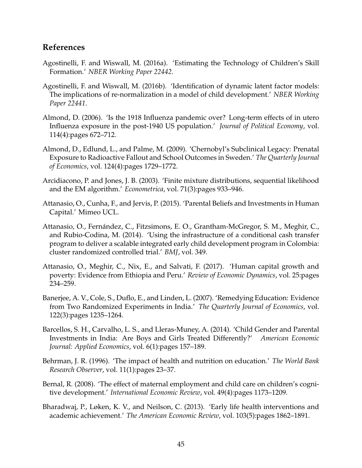## **References**

- <span id="page-45-7"></span>Agostinelli, F. and Wiswall, M. (2016a). 'Estimating the Technology of Children's Skill Formation.' *NBER Working Paper 22442*.
- <span id="page-45-10"></span>Agostinelli, F. and Wiswall, M. (2016b). 'Identification of dynamic latent factor models: The implications of re-normalization in a model of child development.' *NBER Working Paper 22441*.
- <span id="page-45-1"></span>Almond, D. (2006). 'Is the 1918 Influenza pandemic over? Long-term effects of in utero Influenza exposure in the post-1940 US population.' *Journal of Political Economy*, vol. 114(4):pages 672–712.
- <span id="page-45-0"></span>Almond, D., Edlund, L., and Palme, M. (2009). 'Chernobyl's Subclinical Legacy: Prenatal Exposure to Radioactive Fallout and School Outcomes in Sweden.' *The Quarterly Journal of Economics*, vol. 124(4):pages 1729–1772.
- <span id="page-45-11"></span>Arcidiacono, P. and Jones, J. B. (2003). 'Finite mixture distributions, sequential likelihood and the EM algorithm.' *Econometrica*, vol. 71(3):pages 933–946.
- <span id="page-45-9"></span>Attanasio, O., Cunha, F., and Jervis, P. (2015). 'Parental Beliefs and Investments in Human Capital.' Mimeo UCL.
- <span id="page-45-4"></span>Attanasio, O., Fernández, C., Fitzsimons, E. O., Grantham-McGregor, S. M., Meghir, C., and Rubio-Codina, M. (2014). 'Using the infrastructure of a conditional cash transfer program to deliver a scalable integrated early child development program in Colombia: cluster randomized controlled trial.' *BMJ*, vol. 349.
- <span id="page-45-8"></span>Attanasio, O., Meghir, C., Nix, E., and Salvati, F. (2017). 'Human capital growth and poverty: Evidence from Ethiopia and Peru.' *Review of Economic Dynamics*, vol. 25:pages 234–259.
- <span id="page-45-5"></span>Banerjee, A. V., Cole, S., Duflo, E., and Linden, L. (2007). 'Remedying Education: Evidence from Two Randomized Experiments in India.' *The Quarterly Journal of Economics*, vol. 122(3):pages 1235–1264.
- <span id="page-45-12"></span>Barcellos, S. H., Carvalho, L. S., and Lleras-Muney, A. (2014). 'Child Gender and Parental Investments in India: Are Boys and Girls Treated Differently?' *American Economic Journal: Applied Economics*, vol. 6(1):pages 157–189.
- <span id="page-45-3"></span>Behrman, J. R. (1996). 'The impact of health and nutrition on education.' *The World Bank Research Observer*, vol. 11(1):pages 23–37.
- <span id="page-45-6"></span>Bernal, R. (2008). 'The effect of maternal employment and child care on children's cognitive development.' *International Economic Review*, vol. 49(4):pages 1173–1209.
- <span id="page-45-2"></span>Bharadwaj, P., Løken, K. V., and Neilson, C. (2013). 'Early life health interventions and academic achievement.' *The American Economic Review*, vol. 103(5):pages 1862–1891.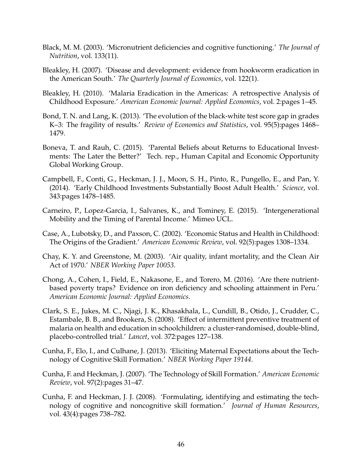- <span id="page-46-5"></span>Black, M. M. (2003). 'Micronutrient deficiencies and cognitive functioning.' *The Journal of Nutrition*, vol. 133(11).
- <span id="page-46-3"></span>Bleakley, H. (2007). 'Disease and development: evidence from hookworm eradication in the American South.' *The Quarterly Journal of Economics*, vol. 122(1).
- <span id="page-46-6"></span>Bleakley, H. (2010). 'Malaria Eradication in the Americas: A retrospective Analysis of Childhood Exposure.' *American Economic Journal: Applied Economics*, vol. 2:pages 1–45.
- <span id="page-46-13"></span>Bond, T. N. and Lang, K. (2013). 'The evolution of the black-white test score gap in grades K–3: The fragility of results.' *Review of Economics and Statistics*, vol. 95(5):pages 1468– 1479.
- <span id="page-46-12"></span>Boneva, T. and Rauh, C. (2015). 'Parental Beliefs about Returns to Educational Investments: The Later the Better?' Tech. rep., Human Capital and Economic Opportunity Global Working Group.
- <span id="page-46-4"></span>Campbell, F., Conti, G., Heckman, J. J., Moon, S. H., Pinto, R., Pungello, E., and Pan, Y. (2014). 'Early Childhood Investments Substantially Boost Adult Health.' *Science*, vol. 343:pages 1478–1485.
- <span id="page-46-11"></span>Carneiro, P., Lopez-Garcia, I., Salvanes, K., and Tominey, E. (2015). 'Intergenerational Mobility and the Timing of Parental Income.' Mimeo UCL.
- <span id="page-46-1"></span>Case, A., Lubotsky, D., and Paxson, C. (2002). 'Economic Status and Health in Childhood: The Origins of the Gradient.' *American Economic Review*, vol. 92(5):pages 1308–1334.
- <span id="page-46-2"></span>Chay, K. Y. and Greenstone, M. (2003). 'Air quality, infant mortality, and the Clean Air Act of 1970.' *NBER Working Paper 10053*.
- <span id="page-46-8"></span>Chong, A., Cohen, I., Field, E., Nakasone, E., and Torero, M. (2016). 'Are there nutrientbased poverty traps? Evidence on iron deficiency and schooling attainment in Peru.' *American Economic Journal: Applied Economics*.
- <span id="page-46-7"></span>Clark, S. E., Jukes, M. C., Njagi, J. K., Khasakhala, L., Cundill, B., Otido, J., Crudder, C., Estambale, B. B., and Brookera, S. (2008). 'Effect of intermittent preventive treatment of malaria on health and education in schoolchildren: a cluster-randomised, double-blind, placebo-controlled trial.' *Lancet*, vol. 372:pages 127–138.
- <span id="page-46-10"></span>Cunha, F., Elo, I., and Culhane, J. (2013). 'Eliciting Maternal Expectations about the Technology of Cognitive Skill Formation.' *NBER Working Paper 19144*.
- <span id="page-46-0"></span>Cunha, F. and Heckman, J. (2007). 'The Technology of Skill Formation.' *American Economic Review*, vol. 97(2):pages 31–47.
- <span id="page-46-9"></span>Cunha, F. and Heckman, J. J. (2008). 'Formulating, identifying and estimating the technology of cognitive and noncognitive skill formation.' *Journal of Human Resources*, vol. 43(4):pages 738–782.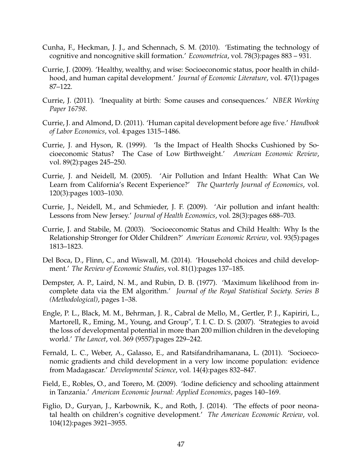- <span id="page-47-2"></span>Cunha, F., Heckman, J. J., and Schennach, S. M. (2010). 'Estimating the technology of cognitive and noncognitive skill formation.' *Econometrica*, vol. 78(3):pages 883 – 931.
- <span id="page-47-13"></span>Currie, J. (2009). 'Healthy, wealthy, and wise: Socioeconomic status, poor health in childhood, and human capital development.' *Journal of Economic Literature*, vol. 47(1):pages 87–122.
- <span id="page-47-4"></span>Currie, J. (2011). 'Inequality at birth: Some causes and consequences.' *NBER Working Paper 16798*.
- <span id="page-47-1"></span>Currie, J. and Almond, D. (2011). 'Human capital development before age five.' *Handbook of Labor Economics*, vol. 4:pages 1315–1486.
- <span id="page-47-5"></span>Currie, J. and Hyson, R. (1999). 'Is the Impact of Health Shocks Cushioned by Socioeconomic Status? The Case of Low Birthweight.' *American Economic Review*, vol. 89(2):pages 245–250.
- <span id="page-47-8"></span>Currie, J. and Neidell, M. (2005). 'Air Pollution and Infant Health: What Can We Learn from California's Recent Experience?' *The Quarterly Journal of Economics*, vol. 120(3):pages 1003–1030.
- <span id="page-47-7"></span>Currie, J., Neidell, M., and Schmieder, J. F. (2009). 'Air pollution and infant health: Lessons from New Jersey.' *Journal of Health Economics*, vol. 28(3):pages 688–703.
- <span id="page-47-6"></span>Currie, J. and Stabile, M. (2003). 'Socioeconomic Status and Child Health: Why Is the Relationship Stronger for Older Children?' *American Economic Review*, vol. 93(5):pages 1813–1823.
- <span id="page-47-0"></span>Del Boca, D., Flinn, C., and Wiswall, M. (2014). 'Household choices and child development.' *The Review of Economic Studies*, vol. 81(1):pages 137–185.
- <span id="page-47-12"></span>Dempster, A. P., Laird, N. M., and Rubin, D. B. (1977). 'Maximum likelihood from incomplete data via the EM algorithm.' *Journal of the Royal Statistical Society. Series B (Methodological)*, pages 1–38.
- <span id="page-47-11"></span>Engle, P. L., Black, M. M., Behrman, J. R., Cabral de Mello, M., Gertler, P. J., Kapiriri, L., Martorell, R., Eming, M., Young, and Group", T. I. C. D. S. (2007). 'Strategies to avoid the loss of developmental potential in more than 200 million children in the developing world.' *The Lancet*, vol. 369 (9557):pages 229–242.
- <span id="page-47-3"></span>Fernald, L. C., Weber, A., Galasso, E., and Ratsifandrihamanana, L. (2011). 'Socioeconomic gradients and child development in a very low income population: evidence from Madagascar.' *Developmental Science*, vol. 14(4):pages 832–847.
- <span id="page-47-9"></span>Field, E., Robles, O., and Torero, M. (2009). 'Iodine deficiency and schooling attainment in Tanzania.' *American Economic Journal: Applied Economics*, pages 140–169.
- <span id="page-47-10"></span>Figlio, D., Guryan, J., Karbownik, K., and Roth, J. (2014). 'The effects of poor neonatal health on children's cognitive development.' *The American Economic Review*, vol. 104(12):pages 3921–3955.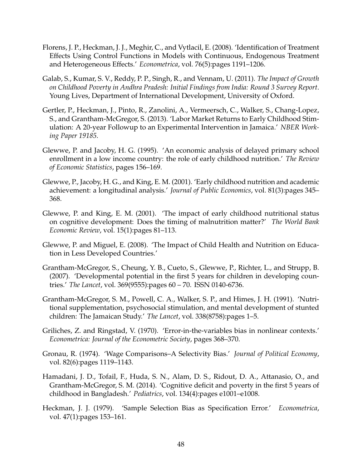- <span id="page-48-11"></span>Florens, J. P., Heckman, J. J., Meghir, C., and Vytlacil, E. (2008). 'Identification of Treatment Effects Using Control Functions in Models with Continuous, Endogenous Treatment and Heterogeneous Effects.' *Econometrica*, vol. 76(5):pages 1191–1206.
- <span id="page-48-8"></span>Galab, S., Kumar, S. V., Reddy, P. P., Singh, R., and Vennam, U. (2011). *The Impact of Growth on Childhood Poverty in Andhra Pradesh: Initial Findings from India: Round 3 Survey Report*. Young Lives, Department of International Development, University of Oxford.
- <span id="page-48-2"></span>Gertler, P., Heckman, J., Pinto, R., Zanolini, A., Vermeersch, C., Walker, S., Chang-Lopez, S., and Grantham-McGregor, S. (2013). 'Labor Market Returns to Early Childhood Stimulation: A 20-year Followup to an Experimental Intervention in Jamaica.' *NBER Working Paper 19185*.
- <span id="page-48-7"></span>Glewwe, P. and Jacoby, H. G. (1995). 'An economic analysis of delayed primary school enrollment in a low income country: the role of early childhood nutrition.' *The Review of Economic Statistics*, pages 156–169.
- <span id="page-48-5"></span>Glewwe, P., Jacoby, H. G., and King, E. M. (2001). 'Early childhood nutrition and academic achievement: a longitudinal analysis.' *Journal of Public Economics*, vol. 81(3):pages 345– 368.
- <span id="page-48-6"></span>Glewwe, P. and King, E. M. (2001). 'The impact of early childhood nutritional status on cognitive development: Does the timing of malnutrition matter?' *The World Bank Economic Review*, vol. 15(1):pages 81–113.
- <span id="page-48-3"></span>Glewwe, P. and Miguel, E. (2008). 'The Impact of Child Health and Nutrition on Education in Less Developed Countries.'
- <span id="page-48-0"></span>Grantham-McGregor, S., Cheung, Y. B., Cueto, S., Glewwe, P., Richter, L., and Strupp, B. (2007). 'Developmental potential in the first 5 years for children in developing countries.' *The Lancet*, vol. 369(9555):pages 60 – 70. ISSN 0140-6736.
- <span id="page-48-4"></span>Grantham-McGregor, S. M., Powell, C. A., Walker, S. P., and Himes, J. H. (1991). 'Nutritional supplementation, psychosocial stimulation, and mental development of stunted children: The Jamaican Study.' *The Lancet*, vol. 338(8758):pages 1–5.
- <span id="page-48-12"></span>Griliches, Z. and Ringstad, V. (1970). 'Error-in-the-variables bias in nonlinear contexts.' *Econometrica: Journal of the Econometric Society*, pages 368–370.
- <span id="page-48-9"></span>Gronau, R. (1974). 'Wage Comparisons–A Selectivity Bias.' *Journal of Political Economy*, vol. 82(6):pages 1119–1143.
- <span id="page-48-1"></span>Hamadani, J. D., Tofail, F., Huda, S. N., Alam, D. S., Ridout, D. A., Attanasio, O., and Grantham-McGregor, S. M. (2014). 'Cognitive deficit and poverty in the first 5 years of childhood in Bangladesh.' *Pediatrics*, vol. 134(4):pages e1001–e1008.
- <span id="page-48-10"></span>Heckman, J. J. (1979). 'Sample Selection Bias as Specification Error.' *Econometrica*, vol. 47(1):pages 153–161.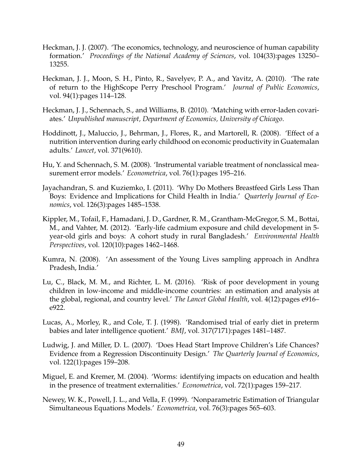- <span id="page-49-0"></span>Heckman, J. J. (2007). 'The economics, technology, and neuroscience of human capability formation.' *Proceedings of the National Academy of Sciences*, vol. 104(33):pages 13250– 13255.
- <span id="page-49-5"></span>Heckman, J. J., Moon, S. H., Pinto, R., Savelyev, P. A., and Yavitz, A. (2010). 'The rate of return to the HighScope Perry Preschool Program.' *Journal of Public Economics*, vol. 94(1):pages 114–128.
- <span id="page-49-8"></span>Heckman, J. J., Schennach, S., and Williams, B. (2010). 'Matching with error-laden covariates.' *Unpublished manuscript, Department of Economics, University of Chicago*.
- <span id="page-49-2"></span>Hoddinott, J., Maluccio, J., Behrman, J., Flores, R., and Martorell, R. (2008). 'Effect of a nutrition intervention during early childhood on economic productivity in Guatemalan adults.' *Lancet*, vol. 371(9610).
- <span id="page-49-12"></span>Hu, Y. and Schennach, S. M. (2008). 'Instrumental variable treatment of nonclassical measurement error models.' *Econometrica*, vol. 76(1):pages 195–216.
- <span id="page-49-10"></span>Jayachandran, S. and Kuziemko, I. (2011). 'Why Do Mothers Breastfeed Girls Less Than Boys: Evidence and Implications for Child Health in India.' *Quarterly Journal of Economics*, vol. 126(3):pages 1485–1538.
- <span id="page-49-6"></span>Kippler, M., Tofail, F., Hamadani, J. D., Gardner, R. M., Grantham-McGregor, S. M., Bottai, M., and Vahter, M. (2012). 'Early-life cadmium exposure and child development in 5 year-old girls and boys: A cohort study in rural Bangladesh.' *Environmental Health Perspectives*, vol. 120(10):pages 1462–1468.
- <span id="page-49-9"></span>Kumra, N. (2008). 'An assessment of the Young Lives sampling approach in Andhra Pradesh, India.'
- <span id="page-49-1"></span>Lu, C., Black, M. M., and Richter, L. M. (2016). 'Risk of poor development in young children in low-income and middle-income countries: an estimation and analysis at the global, regional, and country level.' *The Lancet Global Health*, vol. 4(12):pages e916– e922.
- <span id="page-49-4"></span>Lucas, A., Morley, R., and Cole, T. J. (1998). 'Randomised trial of early diet in preterm babies and later intelligence quotient.' *BMJ*, vol. 317(7171):pages 1481–1487.
- <span id="page-49-7"></span>Ludwig, J. and Miller, D. L. (2007). 'Does Head Start Improve Children's Life Chances? Evidence from a Regression Discontinuity Design.' *The Quarterly Journal of Economics*, vol. 122(1):pages 159–208.
- <span id="page-49-3"></span>Miguel, E. and Kremer, M. (2004). 'Worms: identifying impacts on education and health in the presence of treatment externalities.' *Econometrica*, vol. 72(1):pages 159–217.
- <span id="page-49-11"></span>Newey, W. K., Powell, J. L., and Vella, F. (1999). 'Nonparametric Estimation of Triangular Simultaneous Equations Models.' *Econometrica*, vol. 76(3):pages 565–603.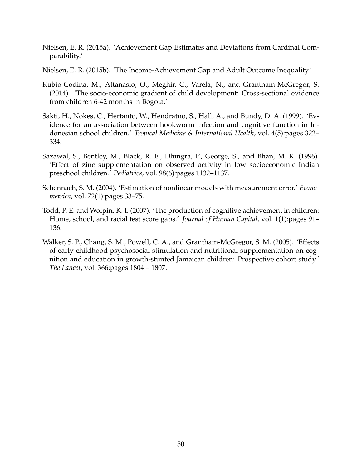- <span id="page-50-6"></span>Nielsen, E. R. (2015a). 'Achievement Gap Estimates and Deviations from Cardinal Comparability.'
- <span id="page-50-7"></span>Nielsen, E. R. (2015b). 'The Income-Achievement Gap and Adult Outcome Inequality.'
- <span id="page-50-0"></span>Rubio-Codina, M., Attanasio, O., Meghir, C., Varela, N., and Grantham-McGregor, S. (2014). 'The socio-economic gradient of child development: Cross-sectional evidence from children 6-42 months in Bogota.'
- <span id="page-50-3"></span>Sakti, H., Nokes, C., Hertanto, W., Hendratno, S., Hall, A., and Bundy, D. A. (1999). 'Evidence for an association between hookworm infection and cognitive function in Indonesian school children.' *Tropical Medicine & International Health*, vol. 4(5):pages 322– 334.
- <span id="page-50-2"></span>Sazawal, S., Bentley, M., Black, R. E., Dhingra, P., George, S., and Bhan, M. K. (1996). 'Effect of zinc supplementation on observed activity in low socioeconomic Indian preschool children.' *Pediatrics*, vol. 98(6):pages 1132–1137.
- <span id="page-50-5"></span>Schennach, S. M. (2004). 'Estimation of nonlinear models with measurement error.' *Econometrica*, vol. 72(1):pages 33–75.
- <span id="page-50-4"></span>Todd, P. E. and Wolpin, K. I. (2007). 'The production of cognitive achievement in children: Home, school, and racial test score gaps.' *Journal of Human Capital*, vol. 1(1):pages 91– 136.
- <span id="page-50-1"></span>Walker, S. P., Chang, S. M., Powell, C. A., and Grantham-McGregor, S. M. (2005). 'Effects of early childhood psychosocial stimulation and nutritional supplementation on cognition and education in growth-stunted Jamaican children: Prospective cohort study.' *The Lancet*, vol. 366:pages 1804 – 1807.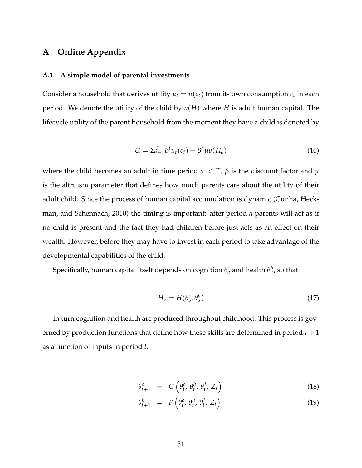## **A Online Appendix**

#### **A.1 A simple model of parental investments**

Consider a household that derives utility  $u_t = u(c_t)$  from its own consumption  $c_t$  in each period. We denote the utility of the child by  $v(H)$  where *H* is adult human capital. The lifecycle utility of the parent household from the moment they have a child is denoted by

$$
U = \Sigma_{t=1}^T \beta^t u_t(c_t) + \beta^a \mu v(H_a)
$$
\n(16)

where the child becomes an adult in time period  $a < T$ ,  $\beta$  is the discount factor and  $\mu$ is the altruism parameter that defines how much parents care about the utility of their adult child. Since the process of human capital accumulation is dynamic [\(Cunha, Heck](#page-47-2)[man, and Schennach,](#page-47-2) [2010\)](#page-47-2) the timing is important: after period *a* parents will act as if no child is present and the fact they had children before just acts as an effect on their wealth. However, before they may have to invest in each period to take advantage of the developmental capabilities of the child.

Specifically, human capital itself depends on cognition  $\theta^c_a$  and health  $\theta^h_a$ , so that

<span id="page-51-0"></span>
$$
H_a = H(\theta_a^c, \theta_a^h) \tag{17}
$$

In turn cognition and health are produced throughout childhood. This process is governed by production functions that define how these skills are determined in period *t* + 1 as a function of inputs in period *t*.

<span id="page-51-1"></span>
$$
\theta_{t+1}^c = G\left(\theta_t^c, \theta_t^h, \theta_t^I, Z_t\right) \tag{18}
$$

$$
\theta_{t+1}^h = F\left(\theta_t^c, \theta_t^h, \theta_t^I, Z_t\right) \tag{19}
$$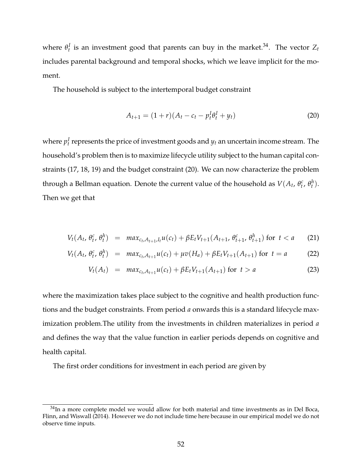where  $\theta_t^I$  is an investment good that parents can buy in the market.<sup>[34](#page-1-0)</sup>. The vector  $Z_t$ includes parental background and temporal shocks, which we leave implicit for the moment.

The household is subject to the intertemporal budget constraint

<span id="page-52-0"></span>
$$
A_{t+1} = (1+r)(A_t - c_t - p_t^I \theta_t^I + y_t)
$$
\n(20)

where  $p_t^I$  represents the price of investment goods and  $y_t$  an uncertain income stream. The household's problem then is to maximize lifecycle utility subject to the human capital constraints [\(17,](#page-51-0) [18,](#page-51-1) [19\)](#page-51-1) and the budget constraint [\(20\)](#page-52-0). We can now characterize the problem through a Bellman equation. Denote the current value of the household as  $V(A_t, \theta_t^c, \theta_t^h)$ . Then we get that

$$
V_t(A_t, \theta_t^c, \theta_t^h) = \max_{c_t, A_{t+1}, I_t} u(c_t) + \beta E_t V_{t+1}(A_{t+1}, \theta_{t+1}^c, \theta_{t+1}^h) \text{ for } t < a \quad (21)
$$

$$
V_t(A_t, \theta_t^c, \theta_t^h) = \max_{c_t, A_{t+1}} u(c_t) + \mu v(H_a) + \beta E_t V_{t+1}(A_{t+1}) \text{ for } t = a \tag{22}
$$

$$
V_t(A_t) = \max_{c_t, A_{t+1}} u(c_t) + \beta E_t V_{t+1}(A_{t+1}) \text{ for } t > a
$$
 (23)

where the maximization takes place subject to the cognitive and health production functions and the budget constraints. From period *a* onwards this is a standard lifecycle maximization problem.The utility from the investments in children materializes in period *a* and defines the way that the value function in earlier periods depends on cognitive and health capital.

The first order conditions for investment in each period are given by

 $34$ In a more complete model we would allow for both material and time investments as in [Del Boca,](#page-47-0) [Flinn, and Wiswall](#page-47-0) [\(2014\)](#page-47-0). However we do not include time here because in our empirical model we do not observe time inputs.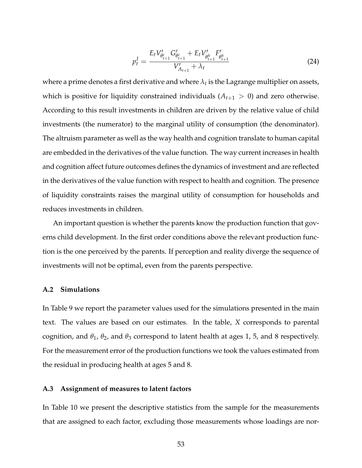$$
p_t^I = \frac{E_t V_{\theta_{t+1}^c}^{\prime} G_{\theta_{t+1}^c}^{\prime} + E_t V_{\theta_{t+1}^h}^{\prime} F_{\theta_{t+1}^h}^{\prime}}{V_{A_{t+1}}^{\prime} + \lambda_t}
$$
(24)

where a prime denotes a first derivative and where  $\lambda_t$  is the Lagrange multiplier on assets, which is positive for liquidity constrained individuals  $(A_{t+1} > 0)$  and zero otherwise. According to this result investments in children are driven by the relative value of child investments (the numerator) to the marginal utility of consumption (the denominator). The altruism parameter as well as the way health and cognition translate to human capital are embedded in the derivatives of the value function. The way current increases in health and cognition affect future outcomes defines the dynamics of investment and are reflected in the derivatives of the value function with respect to health and cognition. The presence of liquidity constraints raises the marginal utility of consumption for households and reduces investments in children.

An important question is whether the parents know the production function that governs child development. In the first order conditions above the relevant production function is the one perceived by the parents. If perception and reality diverge the sequence of investments will not be optimal, even from the parents perspective.

#### **A.2 Simulations**

In Table [9](#page-54-0) we report the parameter values used for the simulations presented in the main text. The values are based on our estimates. In the table, *X* corresponds to parental cognition, and *θ*1, *θ*2, and *θ*<sup>3</sup> correspond to latent health at ages 1, 5, and 8 respectively. For the measurement error of the production functions we took the values estimated from the residual in producing health at ages 5 and 8.

#### **A.3 Assignment of measures to latent factors**

In Table [10](#page-56-0) we present the descriptive statistics from the sample for the measurements that are assigned to each factor, excluding those measurements whose loadings are nor-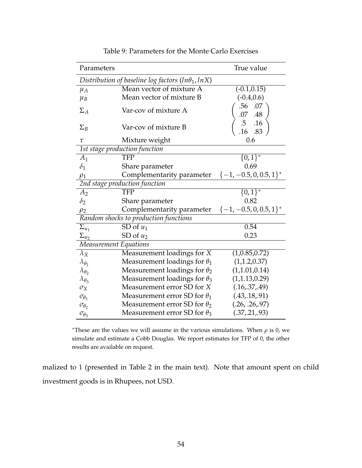| Parameters            |                                                            | True value                   |
|-----------------------|------------------------------------------------------------|------------------------------|
|                       | Distribution of baseline log factors (ln $\theta_1$ , lnX) |                              |
| $\mu_A$               | Mean vector of mixture A                                   | $(-0.1, 0.15)$               |
| $\mu_B$               | Mean vector of mixture B                                   | $(-0.4, 0.6)$                |
| $\Sigma_A$            | Var-cov of mixture A                                       | .56 .07                      |
| $\Sigma_B$            | Var-cov of mixture B                                       | .07 .48<br>.5 .16<br>.16 .83 |
| $\tau$                | Mixture weight                                             | 0.6                          |
|                       | 1st stage production function                              |                              |
| $A_1$                 | <b>TFP</b>                                                 | $\{0,1\}^*$                  |
| $\delta_1$            | Share parameter                                            | 0.69                         |
| $\rho_1$              | Complementarity parameter                                  | $\{-1, -0.5, 0, 0.5, 1\}^*$  |
|                       | 2nd stage production function                              |                              |
| A <sub>2</sub>        | <b>TFP</b>                                                 | $\{0,1\}^*$                  |
| $\delta_2$            | Share parameter                                            | 0.82                         |
| $\rho_2$              | Complementarity parameter                                  | $\{-1, -0.5, 0, 0.5, 1\}^*$  |
|                       | Random shocks to production functions                      |                              |
| $\Sigma_{u_1}$        | SD of $u_1$                                                | 0.54                         |
| $\Sigma_{u_2}$        | SD of $u_2$                                                | 0.23                         |
| Measurement Equations |                                                            |                              |
| $\lambda_X$           | Measurement loadings for X                                 | (1,0.85,0.72)                |
| $\lambda_{\theta_1}$  | Measurement loadings for $\theta_1$                        | (1, 1.2, 0.37)               |
| $\lambda_{\theta_2}$  | Measurement loadings for $\theta_2$                        | (1,1.01,0.14)                |
| $\lambda_{\theta_3}$  | Measurement loadings for $\theta_3$                        | (1,1.13,0.29)                |
| $\sigma_X$            | Measurement error SD for X                                 | (.16,.37,.49)                |
| $\sigma_{\theta_1}$   | Measurement error SD for $\theta_1$                        | (.43,.18,.91)                |
| $\sigma_{\theta_2}$   | Measurement error SD for $\theta_2$                        | (.26, .26, .97)              |
| $\sigma_{\theta_3}$   | Measurement error SD for $\theta_3$                        | (.37, .21, .93)              |

<span id="page-54-0"></span>Table 9: Parameters for the Monte Carlo Exercises

<sup>∗</sup>These are the values we will assume in the various simulations. When *ρ* is 0, we simulate and estimate a Cobb Douglas. We report estimates for TFP of 0, the other results are available on request.

malized to 1 (presented in Table [2](#page-10-0) in the main text). Note that amount spent on child investment goods is in Rhupees, not USD.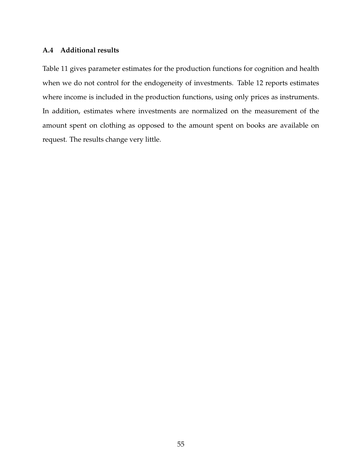### **A.4 Additional results**

Table [11](#page-57-0) gives parameter estimates for the production functions for cognition and health when we do not control for the endogeneity of investments. Table [12](#page-58-0) reports estimates where income is included in the production functions, using only prices as instruments. In addition, estimates where investments are normalized on the measurement of the amount spent on clothing as opposed to the amount spent on books are available on request. The results change very little.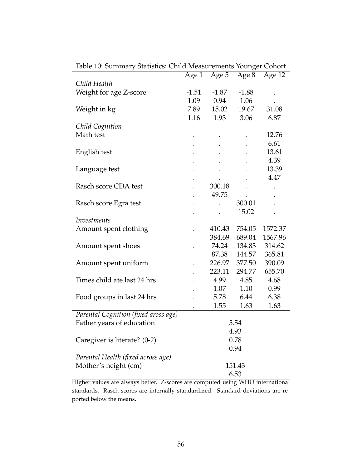|                                      | Age 1   | Age 5   | Age 8   | Age 12  |
|--------------------------------------|---------|---------|---------|---------|
| Child Health                         |         |         |         |         |
| Weight for age Z-score               | $-1.51$ | $-1.87$ | $-1.88$ |         |
|                                      | 1.09    | 0.94    | 1.06    |         |
| Weight in kg                         | 7.89    | 15.02   | 19.67   | 31.08   |
|                                      | 1.16    | 1.93    | 3.06    | 6.87    |
| Child Cognition                      |         |         |         |         |
| Math test                            |         |         |         | 12.76   |
|                                      |         |         |         | 6.61    |
| English test                         |         |         |         | 13.61   |
|                                      |         |         |         | 4.39    |
| Language test                        |         |         |         | 13.39   |
|                                      |         |         |         | 4.47    |
| Rasch score CDA test                 |         | 300.18  |         |         |
|                                      |         | 49.75   |         |         |
| Rasch score Egra test                |         |         | 300.01  |         |
|                                      |         |         | 15.02   |         |
| Investments                          |         |         |         |         |
| Amount spent clothing                |         | 410.43  | 754.05  | 1572.37 |
|                                      |         | 384.69  | 689.04  | 1567.96 |
| Amount spent shoes                   |         | 74.24   | 134.83  | 314.62  |
|                                      |         | 87.38   | 144.57  | 365.81  |
| Amount spent uniform                 |         | 226.97  | 377.50  | 390.09  |
|                                      |         | 223.11  | 294.77  | 655.70  |
| Times child ate last 24 hrs          |         | 4.99    | 4.85    | 4.68    |
|                                      |         | 1.07    | 1.10    | 0.99    |
| Food groups in last 24 hrs           |         | 5.78    | 6.44    | 6.38    |
|                                      |         | 1.55    | 1.63    | 1.63    |
| Parental Cognition (fixed aross age) |         |         |         |         |
| Father years of education            |         |         | 5.54    |         |
|                                      |         |         | 4.93    |         |
| Caregiver is literate? (0-2)         |         |         | 0.78    |         |
|                                      |         |         | 0.94    |         |
| Parental Health (fixed across age)   |         |         |         |         |
| Mother's height (cm)                 |         |         | 151.43  |         |
|                                      |         |         | 6.53    |         |

<span id="page-56-0"></span>Table 10: Summary Statistics: Child Measurements Younger Cohort

Higher values are always better. Z-scores are computed using WHO international standards. Rasch scores are internally standardized. Standard deviations are reported below the means.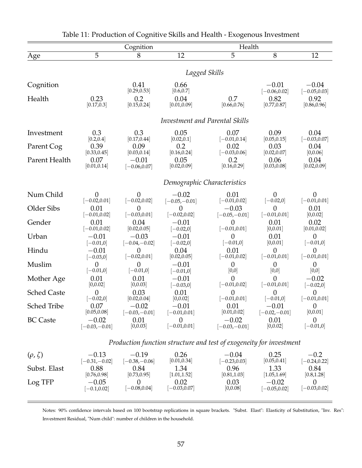|                    |                                   | Cognition                         |                             | Health                                                              |                                   |                               |
|--------------------|-----------------------------------|-----------------------------------|-----------------------------|---------------------------------------------------------------------|-----------------------------------|-------------------------------|
| Age                | $\overline{5}$                    | 8                                 | $\overline{12}$             | $\overline{5}$                                                      | $\overline{8}$                    | 12                            |
|                    |                                   |                                   |                             |                                                                     |                                   |                               |
|                    |                                   |                                   |                             | Lagged Skills                                                       |                                   |                               |
| Cognition          |                                   | 0.41                              | 0.66                        |                                                                     | $-0.01$                           | $-0.04$                       |
|                    |                                   | [0.29, 0.53]                      | [0.6, 0.7]                  |                                                                     | $[-0.06, 0.02]$                   | $[-0.05, 0.03]$               |
| Health             | 0.23<br>[0.17, 0.3]               | 0.2<br>[0.15, 0.24]               | 0.04<br>[0.01, 0.09]        | 0.7<br>[0.66, 0.76]                                                 | 0.82<br>[0.77, 0.87]              | 0.92<br>[0.86, 0.96]          |
|                    |                                   |                                   |                             |                                                                     |                                   |                               |
|                    |                                   |                                   |                             | Investment and Parental Skills                                      |                                   |                               |
|                    |                                   |                                   |                             |                                                                     |                                   |                               |
| Investment         | 0.3<br>[0.2, 0.4]                 | 0.3<br>[0.17, 0.44]               | 0.05<br>[0.02, 0.1]         | 0.07<br>$[-0.01, 0.14]$                                             | 0.09<br>[0.05, 0.15]              | 0.04<br>$[-0.03, 0.07]$       |
| Parent Cog         | 0.39                              | 0.09                              | 0.2                         | 0.02                                                                | 0.03                              | 0.04                          |
|                    | [0.33, 0.45]                      | [0.03, 0.14]                      | [0.16, 0.24]                | $[-0.03, 0.06]$                                                     | [0.02, 0.07]                      | [0,0.06]                      |
| Parent Health      | 0.07<br>[0.01, 0.14]              | $-0.01$<br>$[-0.06, 0.07]$        | 0.05<br>[0.02, 0.09]        | 0.2<br>[0.16, 0.29]                                                 | 0.06<br>[0.03, 0.08]              | 0.04<br>[0.02, 0.09]          |
|                    |                                   |                                   |                             |                                                                     |                                   |                               |
|                    |                                   |                                   |                             | Demographic Characteristics                                         |                                   |                               |
|                    |                                   |                                   |                             |                                                                     |                                   |                               |
| Num Child          | $\overline{0}$<br>$[-0.02, 0.01]$ | $\overline{0}$<br>$[-0.02, 0.02]$ | $-0.02$<br>$[-0.05,-0.01]$  | 0.01<br>$[-0.01, 0.02]$                                             | $\overline{0}$<br>$[-0.02,0]$     | $\theta$<br>$[-0.01, 0.01]$   |
| Older Sibs         | 0.01                              | $\overline{0}$                    | $\theta$                    | $-0.03$                                                             | $\overline{0}$                    | 0.01                          |
|                    | $[-0.01, 0.02]$                   | $[-0.03, 0.01]$                   | $[-0.02, 0.02]$             | $[-0.05,-0.01]$                                                     | $[-0.01, 0.01]$                   | [0,0.02]                      |
| Gender             | 0.01<br>$[-0.01, 0.02]$           | 0.04<br>[0.02, 0.05]              | $-0.01$                     | $\overline{0}$<br>$[-0.01, 0.01]$                                   | 0.01<br>[0,0.01]                  | 0.02<br>[0.01, 0.02]          |
| Urban              | $-0.01$                           | $-0.03$                           | $[-0.02, 0]$<br>$-0.01$     | $\overline{0}$                                                      | 0.01                              | $\theta$                      |
|                    | $[-0.01, 0]$                      | $[-0.04,-0.02]$                   | $[-0.02,0]$                 | $[-0.01, 0]$                                                        | [0,0.01]                          | $[-0.01, 0]$                  |
| Hindu              | $-0.01$                           | $\theta$                          | 0.04                        | 0.01                                                                | $\overline{0}$                    | $\theta$                      |
|                    | $[-0.03, 0]$<br>$\theta$          | $[-0.02, 0.01]$<br>$\theta$       | [0.02, 0.05]                | $[-0.01, 0.02]$                                                     | $[-0.01, 0.01]$<br>$\overline{0}$ | $[-0.01, 0.01]$               |
| Muslim             | $[-0.01, 0]$                      | $[-0.01, 0]$                      | $-0.01$<br>$[-0.01, 0]$     | $\overline{0}$<br>[0,0]                                             | [0,0]                             | $\overline{0}$<br>[0,0]       |
| Mother Age         | 0.01                              | 0.01                              | $-0.01$                     | 0                                                                   | $\overline{0}$                    | $-0.02$                       |
|                    | [0,0.02]                          | [0,0.03]                          | $[-0.03, 0]$                | $[-0.01, 0.02]$                                                     | $[-0.01, 0.01]$                   | $[-0.02,0]$                   |
| <b>Sched Caste</b> | $\overline{0}$<br>$[-0.02, 0]$    | 0.03<br>[0.02, 0.04]              | 0.01<br>[0,0.02]            | $\theta$<br>$[-0.01, 0.01]$                                         | $\theta$<br>$[-0.01, 0]$          | $\theta$<br>$[-0.01, 0.01]$   |
| <b>Sched Tribe</b> | 0.07                              | $-0.02$                           | $-0.01$                     | 0.01                                                                | $-0.01$                           | $\overline{0}$                |
|                    | [0.05, 0.08]                      | $[-0.03,-0.01]$                   | $[-0.01, 0.01]$             | [0.01, 0.02]                                                        | $[-0.02,-0.01]$                   | [0,0.01]                      |
| <b>BC</b> Caste    | $-0.02$<br>$[-0.03,-0.01]$        | 0.01<br>[0,0.03]                  | $\theta$<br>$[-0.01, 0.01]$ | $-0.02$<br>$[-0.03,-0.01]$                                          | 0.01<br>[0,0.02]                  | $\theta$<br>$[-0.01, 0]$      |
|                    |                                   |                                   |                             |                                                                     |                                   |                               |
|                    |                                   |                                   |                             | Production function structure and test of exogeneity for investment |                                   |                               |
| $(\rho, \zeta)$    | $-0.13$                           | $-0.19$                           | 0.26                        | $-0.04$                                                             | 0.25                              | $-0.2$                        |
|                    | $[-0.31,-0.02]$                   | $[-0.38,-0.06]$                   | [0.01, 0.34]                | $[-0.23, 0.03]$                                                     | [0.05, 0.41]                      | $[-0.24, 0.22]$               |
| Subst. Elast       | 0.88                              | 0.84                              | 1.34                        | 0.96                                                                | 1.33                              | 0.84                          |
| Log TFP            | [0.76, 0.98]<br>$-0.05$           | [0.73, 0.95]<br>$\theta$          | [1.01, 1.52]<br>0.02        | [0.81, 1.03]<br>0.03                                                | [1.05, 1.69]<br>$-0.02$           | [0.8, 1.28]<br>$\overline{0}$ |
|                    | $[-0.1, 0.02]$                    | $[-0.08, 0.04]$                   | $[-0.03, 0.07]$             | [0,0.08]                                                            | $[-0.05, 0.02]$                   | $[-0.03, 0.02]$               |
|                    |                                   |                                   |                             |                                                                     |                                   |                               |

<span id="page-57-0"></span>

| Table 11: Production of Cognitive Skills and Health - Exogenous Investment |  |
|----------------------------------------------------------------------------|--|
|                                                                            |  |

Notes: 90% confidence intervals based on 100 bootstrap replications in square brackets. "Subst. Elast": Elasticity of Substitution, "Inv. Res": Investment Residual, "Num child": number of children in the household.